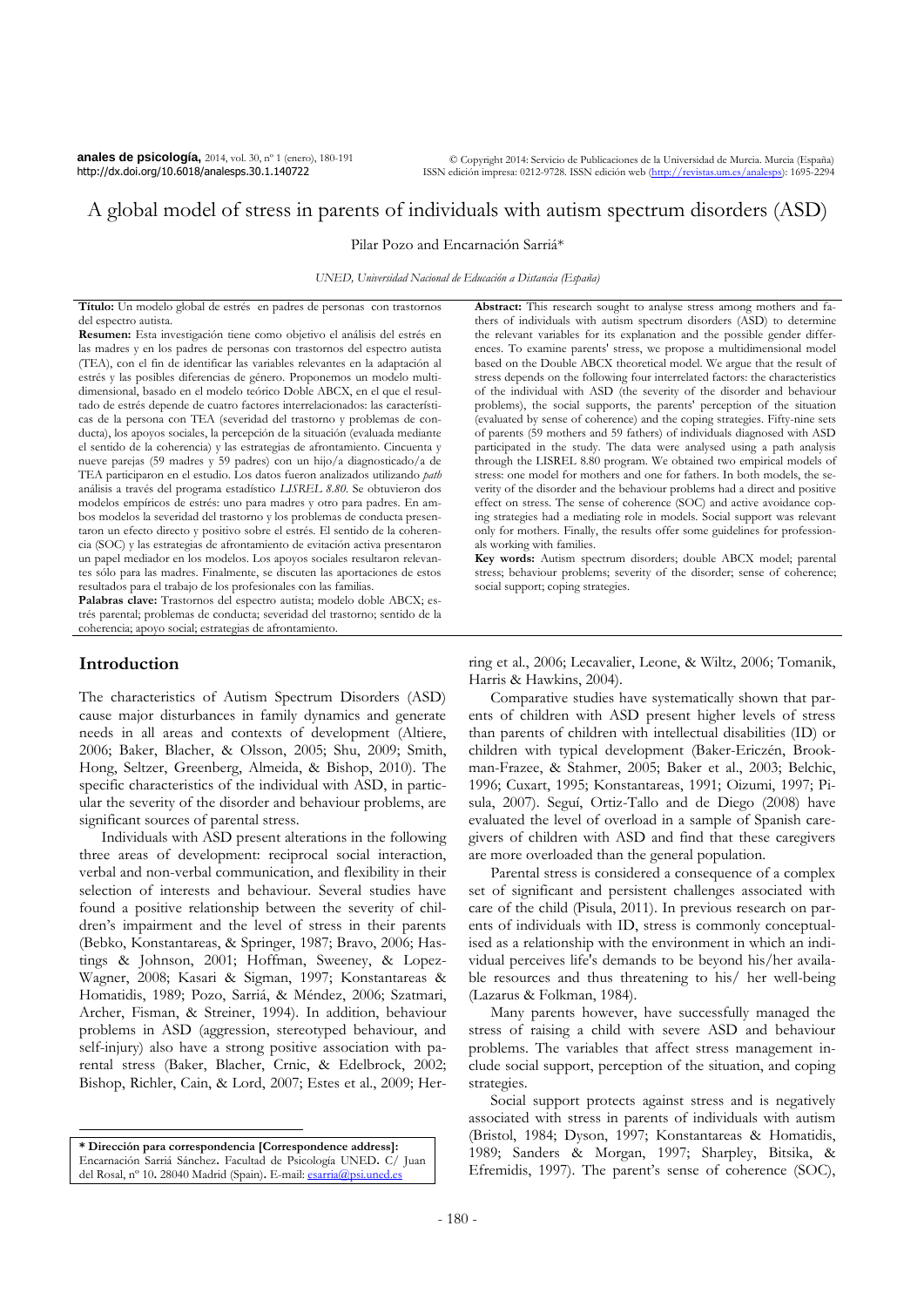**anales de psicología,** 2014, vol. 30, nº 1 (enero), 180-191 http://dx.doi.org/10.6018/analesps.30.1.140722

© Copyright 2014: Servicio de Publicaciones de la Universidad de Murcia. Murcia (España) ISSN edición impresa: 0212-9728. ISSN edición web (http://revistas.um.es/analesps): 1695-2294

# A global model of stress in parents of individuals with autism spectrum disorders (ASD)

Pilar Pozo and Encarnación Sarriá\*

*UNED, Universidad Nacional de Educación a Distancia (España)*

**Título:** Un modelo global de estrés en padres de personas con trastornos del espectro autista.

**Resumen:** Esta investigación tiene como objetivo el análisis del estrés en las madres y en los padres de personas con trastornos del espectro autista (TEA), con el fin de identificar las variables relevantes en la adaptación al estrés y las posibles diferencias de género. Proponemos un modelo multidimensional, basado en el modelo teórico Doble ABCX, en el que el resultado de estrés depende de cuatro factores interrelacionados: las características de la persona con TEA (severidad del trastorno y problemas de conducta), los apoyos sociales, la percepción de la situación (evaluada mediante el sentido de la coherencia) y las estrategias de afrontamiento. Cincuenta y nueve parejas (59 madres y 59 padres) con un hijo/a diagnosticado/a de TEA participaron en el estudio. Los datos fueron analizados utilizando *path*  análisis a través del programa estadístico *LISREL 8.80*. Se obtuvieron dos modelos empíricos de estrés: uno para madres y otro para padres. En ambos modelos la severidad del trastorno y los problemas de conducta presentaron un efecto directo y positivo sobre el estrés. El sentido de la coherencia (SOC) y las estrategias de afrontamiento de evitación activa presentaron un papel mediador en los modelos. Los apoyos sociales resultaron relevantes sólo para las madres. Finalmente, se discuten las aportaciones de estos resultados para el trabajo de los profesionales con las familias.

Palabras clave: Trastornos del espectro autista; modelo doble ABCX; estrés parental; problemas de conducta; severidad del trastorno; sentido de la coherencia; apoyo social; estrategias de afrontamiento.

## **Introduction**

 $\overline{a}$ 

The characteristics of Autism Spectrum Disorders (ASD) cause major disturbances in family dynamics and generate needs in all areas and contexts of development (Altiere, 2006; Baker, Blacher, & Olsson, 2005; Shu, 2009; Smith, Hong, Seltzer, Greenberg, Almeida, & Bishop, 2010). The specific characteristics of the individual with ASD, in particular the severity of the disorder and behaviour problems, are significant sources of parental stress.

Individuals with ASD present alterations in the following three areas of development: reciprocal social interaction, verbal and non-verbal communication, and flexibility in their selection of interests and behaviour. Several studies have found a positive relationship between the severity of children's impairment and the level of stress in their parents (Bebko, Konstantareas, & Springer, 1987; Bravo, 2006; Hastings & Johnson, 2001; Hoffman, Sweeney, & Lopez-Wagner, 2008; Kasari & Sigman, 1997; Konstantareas & Homatidis, 1989; Pozo, Sarriá, & Méndez, 2006; Szatmari, Archer, Fisman, & Streiner, 1994). In addition, behaviour problems in ASD (aggression, stereotyped behaviour, and self-injury) also have a strong positive association with parental stress (Baker, Blacher, Crnic, & Edelbrock, 2002; Bishop, Richler, Cain, & Lord, 2007; Estes et al., 2009; Her-

**\* Dirección para correspondencia [Correspondence address]:**  Encarnación Sarriá Sánchez**.** Facultad de Psicología UNED**.** C/ Juan del Rosal, nº 10**.** 28040 Madrid (Spain)**.** E-mail: [esarria@psi.uned.es](mailto:esarria@psi.uned.es)

**Abstract:** This research sought to analyse stress among mothers and fathers of individuals with autism spectrum disorders (ASD) to determine the relevant variables for its explanation and the possible gender differences. To examine parents' stress, we propose a multidimensional model based on the Double ABCX theoretical model. We argue that the result of stress depends on the following four interrelated factors: the characteristics of the individual with ASD (the severity of the disorder and behaviour problems), the social supports, the parents' perception of the situation (evaluated by sense of coherence) and the coping strategies. Fifty-nine sets of parents (59 mothers and 59 fathers) of individuals diagnosed with ASD participated in the study. The data were analysed using a path analysis through the LISREL 8.80 program. We obtained two empirical models of stress: one model for mothers and one for fathers. In both models, the severity of the disorder and the behaviour problems had a direct and positive effect on stress. The sense of coherence (SOC) and active avoidance coping strategies had a mediating role in models. Social support was relevant only for mothers. Finally, the results offer some guidelines for professionals working with families.

**Key words:** Autism spectrum disorders; double ABCX model; parental stress; behaviour problems; severity of the disorder; sense of coherence; social support; coping strategies.

ring et al., 2006; Lecavalier, Leone, & Wiltz, 2006; Tomanik, Harris & Hawkins, 2004).

Comparative studies have systematically shown that parents of children with ASD present higher levels of stress than parents of children with intellectual disabilities (ID) or children with typical development (Baker-Ericzén, Brookman-Frazee, & Stahmer, 2005; Baker et al., 2003; Belchic, 1996; Cuxart, 1995; Konstantareas, 1991; Oizumi, 1997; Pisula, 2007). Seguí, Ortiz-Tallo and de Diego (2008) have evaluated the level of overload in a sample of Spanish caregivers of children with ASD and find that these caregivers are more overloaded than the general population.

Parental stress is considered a consequence of a complex set of significant and persistent challenges associated with care of the child (Pisula, 2011). In previous research on parents of individuals with ID, stress is commonly conceptualised as a relationship with the environment in which an individual perceives life's demands to be beyond his/her available resources and thus threatening to his/ her well-being (Lazarus & Folkman, 1984).

Many parents however, have successfully managed the stress of raising a child with severe ASD and behaviour problems. The variables that affect stress management include social support, perception of the situation, and coping strategies.

Social support protects against stress and is negatively associated with stress in parents of individuals with autism (Bristol, 1984; Dyson, 1997; Konstantareas & Homatidis, 1989; Sanders & Morgan, 1997; Sharpley, Bitsika, & Efremidis, 1997). The parent's sense of coherence (SOC),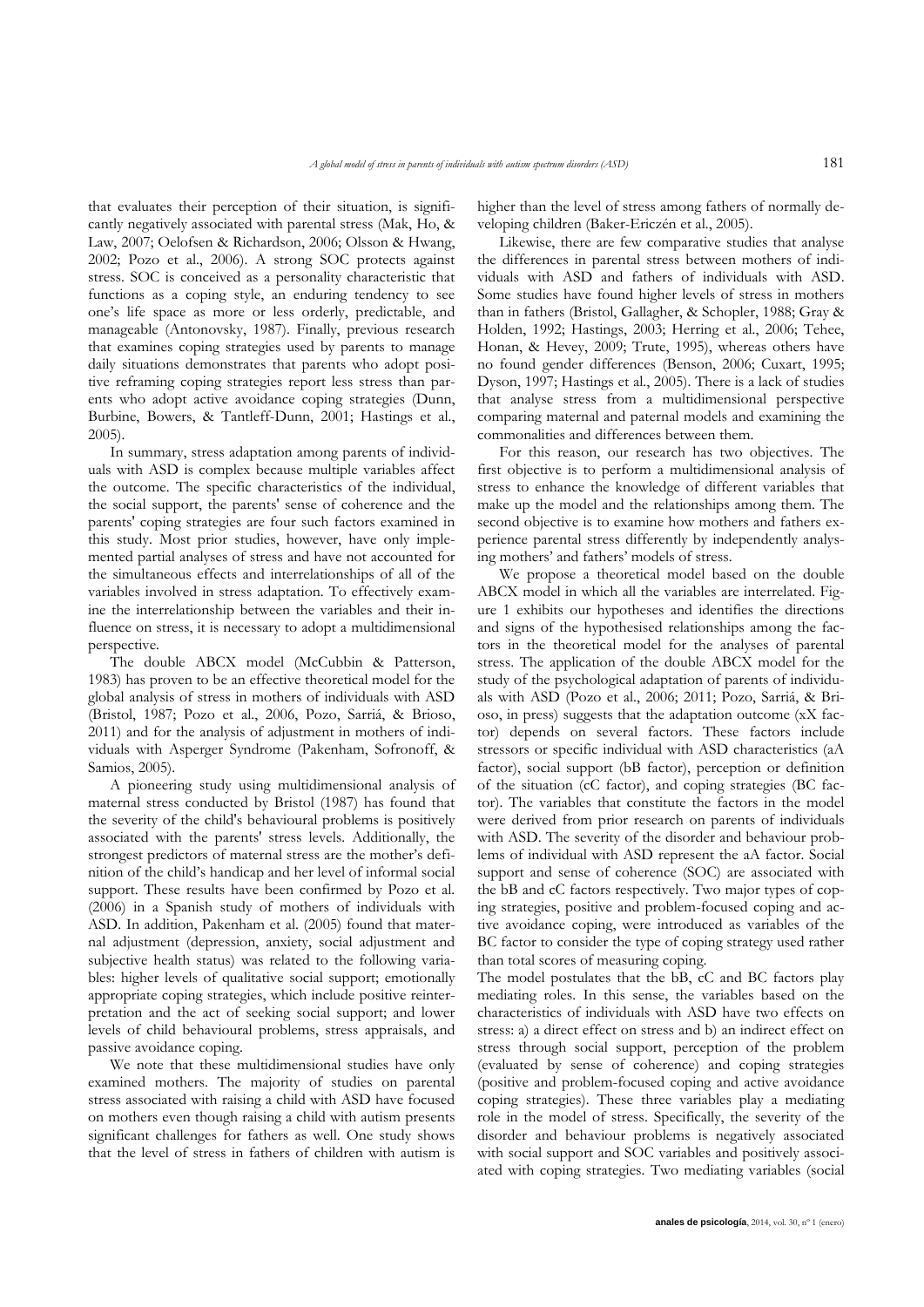that evaluates their perception of their situation, is significantly negatively associated with parental stress (Mak, Ho, & Law, 2007; Oelofsen & Richardson, 2006; Olsson & Hwang, 2002; Pozo et al., 2006). A strong SOC protects against stress. SOC is conceived as a personality characteristic that functions as a coping style, an enduring tendency to see one's life space as more or less orderly, predictable, and manageable (Antonovsky, 1987). Finally, previous research that examines coping strategies used by parents to manage daily situations demonstrates that parents who adopt positive reframing coping strategies report less stress than parents who adopt active avoidance coping strategies (Dunn, Burbine, Bowers, & Tantleff-Dunn, 2001; Hastings et al., 2005).

In summary, stress adaptation among parents of individuals with ASD is complex because multiple variables affect the outcome. The specific characteristics of the individual, the social support, the parents' sense of coherence and the parents' coping strategies are four such factors examined in this study. Most prior studies, however, have only implemented partial analyses of stress and have not accounted for the simultaneous effects and interrelationships of all of the variables involved in stress adaptation. To effectively examine the interrelationship between the variables and their influence on stress, it is necessary to adopt a multidimensional perspective.

The double ABCX model (McCubbin & Patterson, 1983) has proven to be an effective theoretical model for the global analysis of stress in mothers of individuals with ASD (Bristol, 1987; Pozo et al., 2006, Pozo, Sarriá, & Brioso, 2011) and for the analysis of adjustment in mothers of individuals with Asperger Syndrome (Pakenham, Sofronoff, & Samios, 2005).

A pioneering study using multidimensional analysis of maternal stress conducted by Bristol (1987) has found that the severity of the child's behavioural problems is positively associated with the parents' stress levels. Additionally, the strongest predictors of maternal stress are the mother's definition of the child's handicap and her level of informal social support. These results have been confirmed by Pozo et al. (2006) in a Spanish study of mothers of individuals with ASD. In addition, Pakenham et al. (2005) found that maternal adjustment (depression, anxiety, social adjustment and subjective health status) was related to the following variables: higher levels of qualitative social support; emotionally appropriate coping strategies, which include positive reinterpretation and the act of seeking social support; and lower levels of child behavioural problems, stress appraisals, and passive avoidance coping.

We note that these multidimensional studies have only examined mothers. The majority of studies on parental stress associated with raising a child with ASD have focused on mothers even though raising a child with autism presents significant challenges for fathers as well. One study shows that the level of stress in fathers of children with autism is higher than the level of stress among fathers of normally developing children (Baker-Ericzén et al., 2005).

Likewise, there are few comparative studies that analyse the differences in parental stress between mothers of individuals with ASD and fathers of individuals with ASD. Some studies have found higher levels of stress in mothers than in fathers (Bristol, Gallagher, & Schopler, 1988; Gray & Holden, 1992; Hastings, 2003; Herring et al., 2006; Tehee, Honan, & Hevey, 2009; Trute, 1995), whereas others have no found gender differences (Benson, 2006; Cuxart, 1995; Dyson, 1997; Hastings et al., 2005). There is a lack of studies that analyse stress from a multidimensional perspective comparing maternal and paternal models and examining the commonalities and differences between them.

For this reason, our research has two objectives. The first objective is to perform a multidimensional analysis of stress to enhance the knowledge of different variables that make up the model and the relationships among them. The second objective is to examine how mothers and fathers experience parental stress differently by independently analysing mothers' and fathers' models of stress.

We propose a theoretical model based on the double ABCX model in which all the variables are interrelated. Figure 1 exhibits our hypotheses and identifies the directions and signs of the hypothesised relationships among the factors in the theoretical model for the analyses of parental stress. The application of the double ABCX model for the study of the psychological adaptation of parents of individuals with ASD (Pozo et al., 2006; 2011; Pozo, Sarriá, & Brioso, in press) suggests that the adaptation outcome (xX factor) depends on several factors. These factors include stressors or specific individual with ASD characteristics (aA factor), social support (bB factor), perception or definition of the situation (cC factor), and coping strategies (BC factor). The variables that constitute the factors in the model were derived from prior research on parents of individuals with ASD. The severity of the disorder and behaviour problems of individual with ASD represent the aA factor. Social support and sense of coherence (SOC) are associated with the bB and cC factors respectively. Two major types of coping strategies, positive and problem-focused coping and active avoidance coping, were introduced as variables of the BC factor to consider the type of coping strategy used rather than total scores of measuring coping.

The model postulates that the bB, cC and BC factors play mediating roles. In this sense, the variables based on the characteristics of individuals with ASD have two effects on stress: a) a direct effect on stress and b) an indirect effect on stress through social support, perception of the problem (evaluated by sense of coherence) and coping strategies (positive and problem-focused coping and active avoidance coping strategies). These three variables play a mediating role in the model of stress. Specifically, the severity of the disorder and behaviour problems is negatively associated with social support and SOC variables and positively associated with coping strategies. Two mediating variables (social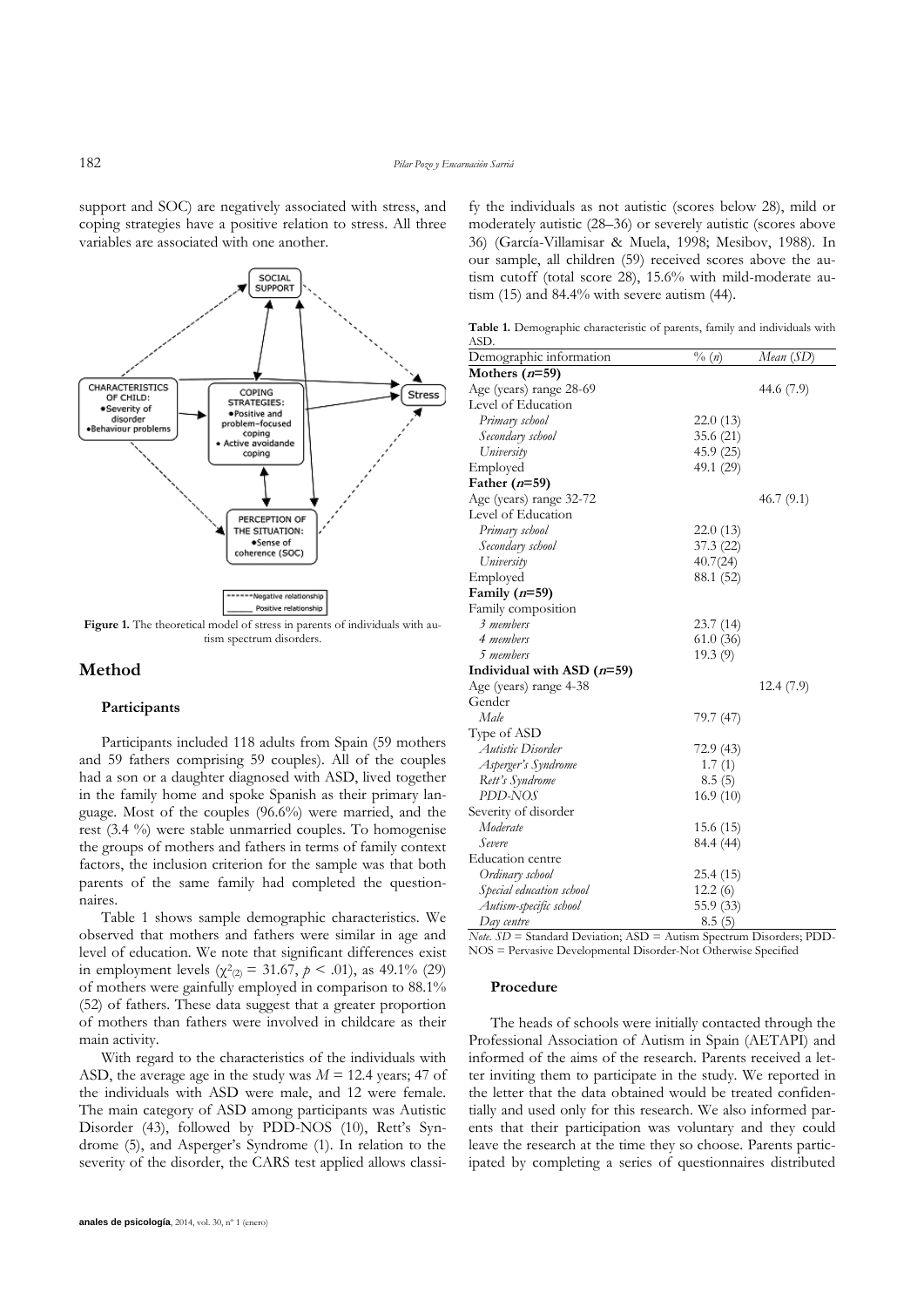support and SOC) are negatively associated with stress, and coping strategies have a positive relation to stress. All three variables are associated with one another.



## **Method**

#### **Participants**

Participants included 118 adults from Spain (59 mothers and 59 fathers comprising 59 couples). All of the couples had a son or a daughter diagnosed with ASD, lived together in the family home and spoke Spanish as their primary language. Most of the couples (96.6%) were married, and the rest (3.4 %) were stable unmarried couples. To homogenise the groups of mothers and fathers in terms of family context factors, the inclusion criterion for the sample was that both parents of the same family had completed the questionnaires.

Table 1 shows sample demographic characteristics. We observed that mothers and fathers were similar in age and level of education. We note that significant differences exist in employment levels  $(\chi^2_{(2)} = 31.67, p \le .01)$ , as 49.1% (29) of mothers were gainfully employed in comparison to 88.1% (52) of fathers. These data suggest that a greater proportion of mothers than fathers were involved in childcare as their main activity.

With regard to the characteristics of the individuals with ASD, the average age in the study was  $M = 12.4$  years; 47 of the individuals with ASD were male, and 12 were female. The main category of ASD among participants was Autistic Disorder (43), followed by PDD-NOS (10), Rett's Syndrome (5), and Asperger's Syndrome (1). In relation to the severity of the disorder, the CARS test applied allows classify the individuals as not autistic (scores below 28), mild or moderately autistic (28–36) or severely autistic (scores above 36) (García-Villamisar & Muela, 1998; Mesibov, 1988). In our sample, all children (59) received scores above the autism cutoff (total score 28), 15.6% with mild-moderate autism (15) and 84.4% with severe autism (44).

**Table 1.** Demographic characteristic of parents, family and individuals with ASD.

| Demographic information      | $\frac{0}{a}(n)$ | Mean (SD)  |
|------------------------------|------------------|------------|
| Mothers $(n=59)$             |                  |            |
| Age (years) range 28-69      |                  | 44.6 (7.9) |
| Level of Education           |                  |            |
| Primary school               | 22.0(13)         |            |
| Secondary school             | 35.6(21)         |            |
| University                   | 45.9(25)         |            |
| Employed                     | 49.1 (29)        |            |
| Father $(n=59)$              |                  |            |
| Age (years) range 32-72      |                  | 46.7(9.1)  |
| Level of Education           |                  |            |
| Primary school               | 22.0(13)         |            |
| Secondary school             | 37.3(22)         |            |
| University                   | 40.7(24)         |            |
| Employed                     | 88.1 (52)        |            |
| Family $(n=59)$              |                  |            |
| Family composition           |                  |            |
| 3 members                    | 23.7(14)         |            |
| 4 members                    | 61.0(36)         |            |
| 5 members                    | 19.3(9)          |            |
| Individual with ASD $(n=59)$ |                  |            |
| Age (years) range 4-38       |                  | 12.4(7.9)  |
| Gender                       |                  |            |
| Male                         | 79.7 (47)        |            |
| Type of ASD                  |                  |            |
| Autistic Disorder            | 72.9 (43)        |            |
| Asperger's Syndrome          | 1.7(1)           |            |
| Rett's Syndrome              | 8.5(5)           |            |
| PDD-NOS                      | 16.9 (10)        |            |
| Severity of disorder         |                  |            |
| Moderate                     | 15.6 (15)        |            |
| Severe                       | 84.4 (44)        |            |
| <b>Education centre</b>      |                  |            |
| Ordinary school              | 25.4(15)         |            |
| Special education school     | 12.2(6)          |            |
| Autism-specific school       | 55.9 (33)        |            |
| Day centre                   | 8.5(5)           |            |

*Note. SD* = Standard Deviation; ASD = Autism Spectrum Disorders; PDD-NOS = Pervasive Developmental Disorder-Not Otherwise Specified

#### **Procedure**

The heads of schools were initially contacted through the Professional Association of Autism in Spain (AETAPI) and informed of the aims of the research. Parents received a letter inviting them to participate in the study. We reported in the letter that the data obtained would be treated confidentially and used only for this research. We also informed parents that their participation was voluntary and they could leave the research at the time they so choose. Parents participated by completing a series of questionnaires distributed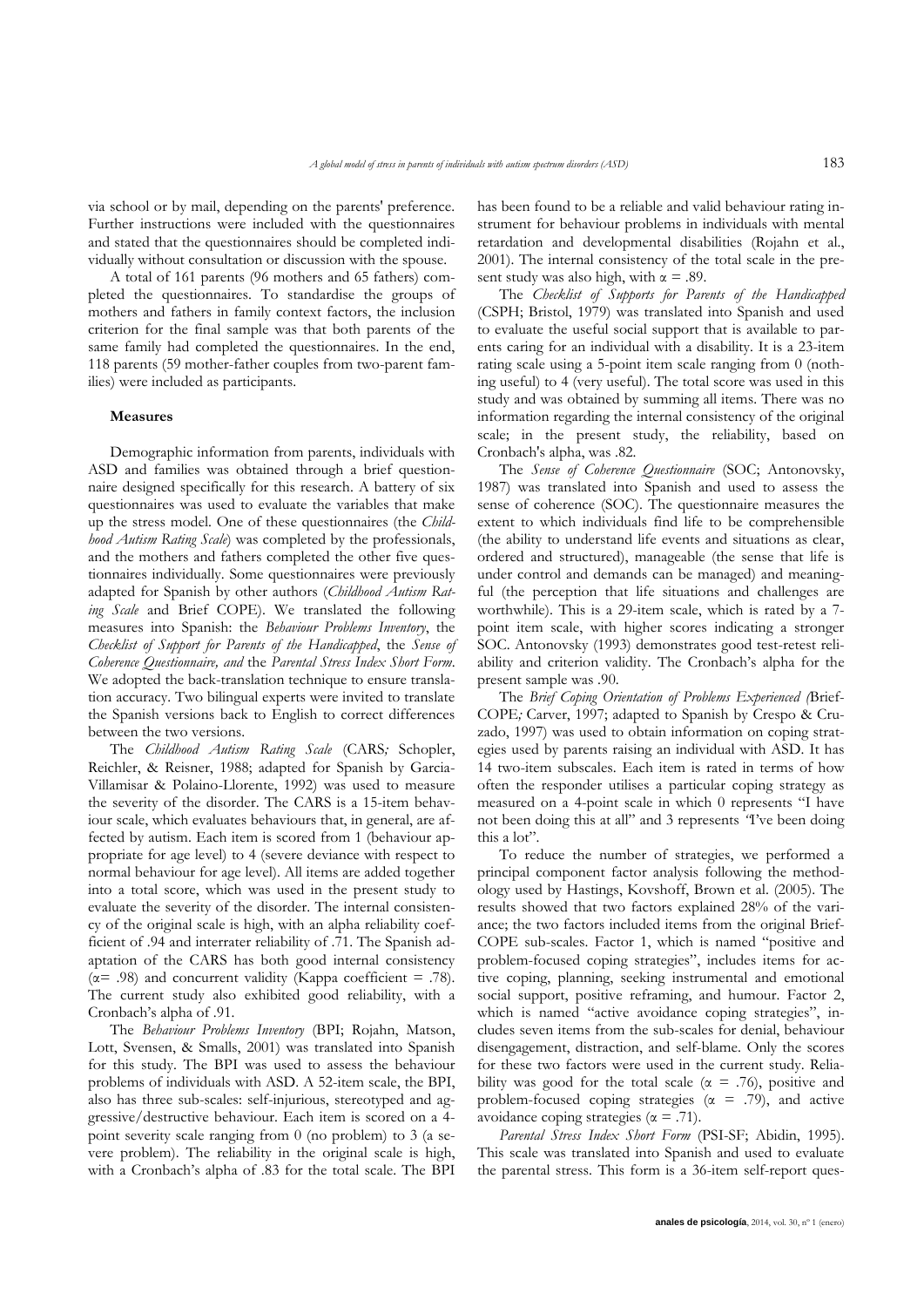via school or by mail, depending on the parents' preference. Further instructions were included with the questionnaires and stated that the questionnaires should be completed individually without consultation or discussion with the spouse.

A total of 161 parents (96 mothers and 65 fathers) completed the questionnaires. To standardise the groups of mothers and fathers in family context factors, the inclusion criterion for the final sample was that both parents of the same family had completed the questionnaires. In the end, 118 parents (59 mother-father couples from two-parent families) were included as participants.

#### **Measures**

Demographic information from parents, individuals with ASD and families was obtained through a brief questionnaire designed specifically for this research. A battery of six questionnaires was used to evaluate the variables that make up the stress model. One of these questionnaires (the *Childhood Autism Rating Scale*) was completed by the professionals, and the mothers and fathers completed the other five questionnaires individually. Some questionnaires were previously adapted for Spanish by other authors (*Childhood Autism Rating Scale* and Brief COPE). We translated the following measures into Spanish: the *Behaviour Problems Inventory*, the *Checklist of Support for Parents of the Handicapped*, the *Sense of Coherence Questionnaire, and* the *Parental Stress Index Short Form*. We adopted the back-translation technique to ensure translation accuracy. Two bilingual experts were invited to translate the Spanish versions back to English to correct differences between the two versions.

The *Childhood Autism Rating Scale* (CARS*;* Schopler, Reichler, & Reisner, 1988; adapted for Spanish by Garcia-Villamisar & Polaino-Llorente, 1992) was used to measure the severity of the disorder. The CARS is a 15-item behaviour scale, which evaluates behaviours that, in general, are affected by autism. Each item is scored from 1 (behaviour appropriate for age level) to 4 (severe deviance with respect to normal behaviour for age level). All items are added together into a total score, which was used in the present study to evaluate the severity of the disorder. The internal consistency of the original scale is high, with an alpha reliability coefficient of .94 and interrater reliability of .71. The Spanish adaptation of the CARS has both good internal consistency ( $\alpha$ = .98) and concurrent validity (Kappa coefficient = .78). The current study also exhibited good reliability, with a Cronbach's alpha of .91.

The *Behaviour Problems Inventory* (BPI; Rojahn, Matson, Lott, Svensen, & Smalls, 2001) was translated into Spanish for this study. The BPI was used to assess the behaviour problems of individuals with ASD. A 52-item scale, the BPI, also has three sub-scales: self-injurious, stereotyped and aggressive/destructive behaviour. Each item is scored on a 4 point severity scale ranging from 0 (no problem) to 3 (a severe problem). The reliability in the original scale is high, with a Cronbach's alpha of .83 for the total scale. The BPI has been found to be a reliable and valid behaviour rating instrument for behaviour problems in individuals with mental retardation and developmental disabilities (Rojahn et al., 2001). The internal consistency of the total scale in the present study was also high, with  $\alpha = .89$ .

The *Checklist of Supports for Parents of the Handicapped*  (CSPH; Bristol, 1979) was translated into Spanish and used to evaluate the useful social support that is available to parents caring for an individual with a disability. It is a 23-item rating scale using a 5-point item scale ranging from 0 (nothing useful) to 4 (very useful). The total score was used in this study and was obtained by summing all items. There was no information regarding the internal consistency of the original scale; in the present study, the reliability, based on Cronbach's alpha, was .82.

The *Sense of Coherence Questionnaire* (SOC; Antonovsky, 1987) was translated into Spanish and used to assess the sense of coherence (SOC). The questionnaire measures the extent to which individuals find life to be comprehensible (the ability to understand life events and situations as clear, ordered and structured), manageable (the sense that life is under control and demands can be managed) and meaningful (the perception that life situations and challenges are worthwhile). This is a 29-item scale, which is rated by a 7 point item scale, with higher scores indicating a stronger SOC. Antonovsky (1993) demonstrates good test-retest reliability and criterion validity. The Cronbach's alpha for the present sample was .90.

The *Brief Coping Orientation of Problems Experienced (*Brief-COPE*;* Carver, 1997; adapted to Spanish by Crespo & Cruzado, 1997) was used to obtain information on coping strategies used by parents raising an individual with ASD. It has 14 two-item subscales. Each item is rated in terms of how often the responder utilises a particular coping strategy as measured on a 4-point scale in which 0 represents "I have not been doing this at all" and 3 represents *"*I've been doing this a lot".

To reduce the number of strategies, we performed a principal component factor analysis following the methodology used by Hastings, Kovshoff, Brown et al. (2005). The results showed that two factors explained 28% of the variance; the two factors included items from the original Brief-COPE sub-scales. Factor 1, which is named "positive and problem-focused coping strategies", includes items for active coping, planning, seeking instrumental and emotional social support, positive reframing, and humour. Factor 2, which is named "active avoidance coping strategies", includes seven items from the sub-scales for denial, behaviour disengagement, distraction, and self-blame. Only the scores for these two factors were used in the current study. Reliability was good for the total scale ( $\alpha$  = .76), positive and problem-focused coping strategies ( $\alpha$  = .79), and active avoidance coping strategies ( $\alpha$  = .71).

*Parental Stress Index Short Form* (PSI-SF; Abidin, 1995). This scale was translated into Spanish and used to evaluate the parental stress. This form is a 36-item self-report ques-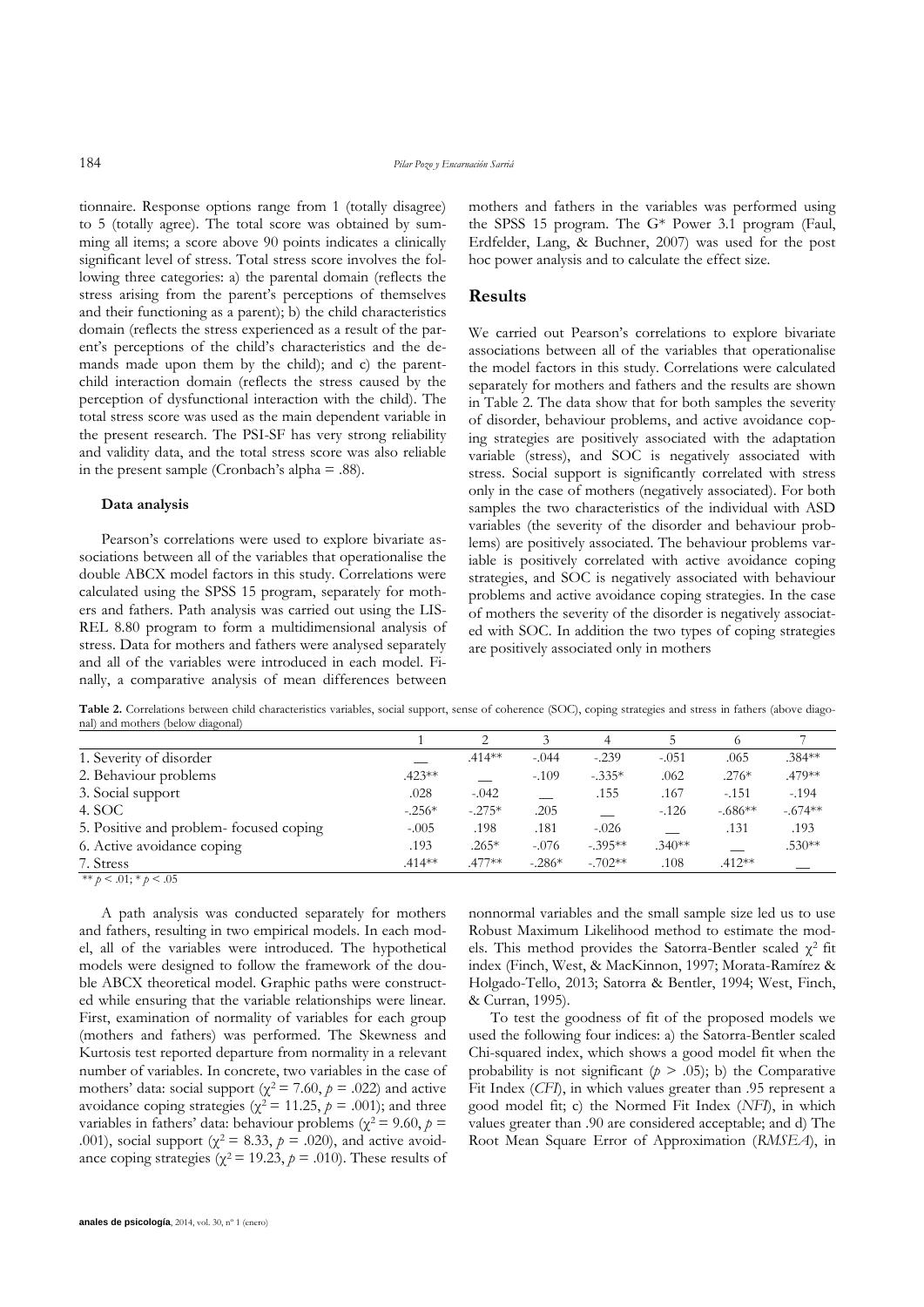tionnaire. Response options range from 1 (totally disagree) to 5 (totally agree). The total score was obtained by summing all items; a score above 90 points indicates a clinically significant level of stress. Total stress score involves the following three categories: a) the parental domain (reflects the stress arising from the parent's perceptions of themselves and their functioning as a parent); b) the child characteristics domain (reflects the stress experienced as a result of the parent's perceptions of the child's characteristics and the demands made upon them by the child); and c) the parentchild interaction domain (reflects the stress caused by the perception of dysfunctional interaction with the child). The total stress score was used as the main dependent variable in the present research. The PSI-SF has very strong reliability and validity data, and the total stress score was also reliable in the present sample (Cronbach's alpha = .88).

#### **Data analysis**

Pearson's correlations were used to explore bivariate associations between all of the variables that operationalise the double ABCX model factors in this study. Correlations were calculated using the SPSS 15 program, separately for mothers and fathers. Path analysis was carried out using the LIS-REL 8.80 program to form a multidimensional analysis of stress. Data for mothers and fathers were analysed separately and all of the variables were introduced in each model. Finally, a comparative analysis of mean differences between mothers and fathers in the variables was performed using the SPSS 15 program. The G\* Power 3.1 program (Faul, Erdfelder, Lang, & Buchner, 2007) was used for the post hoc power analysis and to calculate the effect size.

### **Results**

We carried out Pearson's correlations to explore bivariate associations between all of the variables that operationalise the model factors in this study. Correlations were calculated separately for mothers and fathers and the results are shown in Table 2. The data show that for both samples the severity of disorder, behaviour problems, and active avoidance coping strategies are positively associated with the adaptation variable (stress), and SOC is negatively associated with stress. Social support is significantly correlated with stress only in the case of mothers (negatively associated). For both samples the two characteristics of the individual with ASD variables (the severity of the disorder and behaviour problems) are positively associated. The behaviour problems variable is positively correlated with active avoidance coping strategies, and SOC is negatively associated with behaviour problems and active avoidance coping strategies. In the case of mothers the severity of the disorder is negatively associated with SOC. In addition the two types of coping strategies are positively associated only in mothers

Table 2. Correlations between child characteristics variables, social support, sense of coherence (SOC), coping strategies and stress in fathers (above diagonal) and mothers (below diagonal)

|                                        |           |          |          | 4         |          | 6         |           |
|----------------------------------------|-----------|----------|----------|-----------|----------|-----------|-----------|
| 1. Severity of disorder                |           | $.414**$ | $-.044$  | $-.239$   | $-.051$  | .065      | $.384***$ |
| 2. Behaviour problems                  | $.423**$  |          | $-.109$  | $-.335*$  | .062     | $.276*$   | .479**    |
| 3. Social support                      | .028      | $-.042$  |          | .155      | .167     | $-.151$   | $-.194$   |
| 4. SOC                                 | $-.256*$  | $-.275*$ | .205     |           | $-.126$  | $-.686**$ | $-.674**$ |
| 5. Positive and problem-focused coping | $-.005$   | .198     | .181     | $-.026$   |          | .131      | .193      |
| 6. Active avoidance coping             | .193      | $.265*$  | $-.076$  | $-.395**$ | $.340**$ |           | $.530**$  |
| 7. Stress                              | $.414***$ | $.477**$ | $-.286*$ | $-.702**$ | .108     | $.412**$  |           |

\*\*  $p < .01$ ; \*  $p < .05$ 

A path analysis was conducted separately for mothers and fathers, resulting in two empirical models. In each model, all of the variables were introduced. The hypothetical models were designed to follow the framework of the double ABCX theoretical model. Graphic paths were constructed while ensuring that the variable relationships were linear. First, examination of normality of variables for each group (mothers and fathers) was performed. The Skewness and Kurtosis test reported departure from normality in a relevant number of variables. In concrete, two variables in the case of mothers' data: social support ( $\chi^2$  = 7.60,  $p$  = .022) and active avoidance coping strategies ( $\chi^2$  = 11.25,  $p$  = .001); and three variables in fathers' data: behaviour problems ( $\chi^2$  = 9.60,  $p$  = .001), social support ( $\chi^2 = 8.33$ ,  $p = .020$ ), and active avoidance coping strategies ( $\chi^2$  = 19.23,  $p$  = .010). These results of nonnormal variables and the small sample size led us to use Robust Maximum Likelihood method to estimate the models. This method provides the Satorra-Bentler scaled  $\chi^2$  fit index (Finch, West, & MacKinnon, 1997; Morata-Ramírez & Holgado-Tello, 2013; Satorra & Bentler, 1994; West, Finch, & Curran, 1995).

To test the goodness of fit of the proposed models we used the following four indices: a) the Satorra-Bentler scaled Chi-squared index, which shows a good model fit when the probability is not significant  $(p > .05)$ ; b) the Comparative Fit Index (*CFI*), in which values greater than .95 represent a good model fit; c) the Normed Fit Index (*NFI*), in which values greater than .90 are considered acceptable; and d) The Root Mean Square Error of Approximation (*RMSEA*), in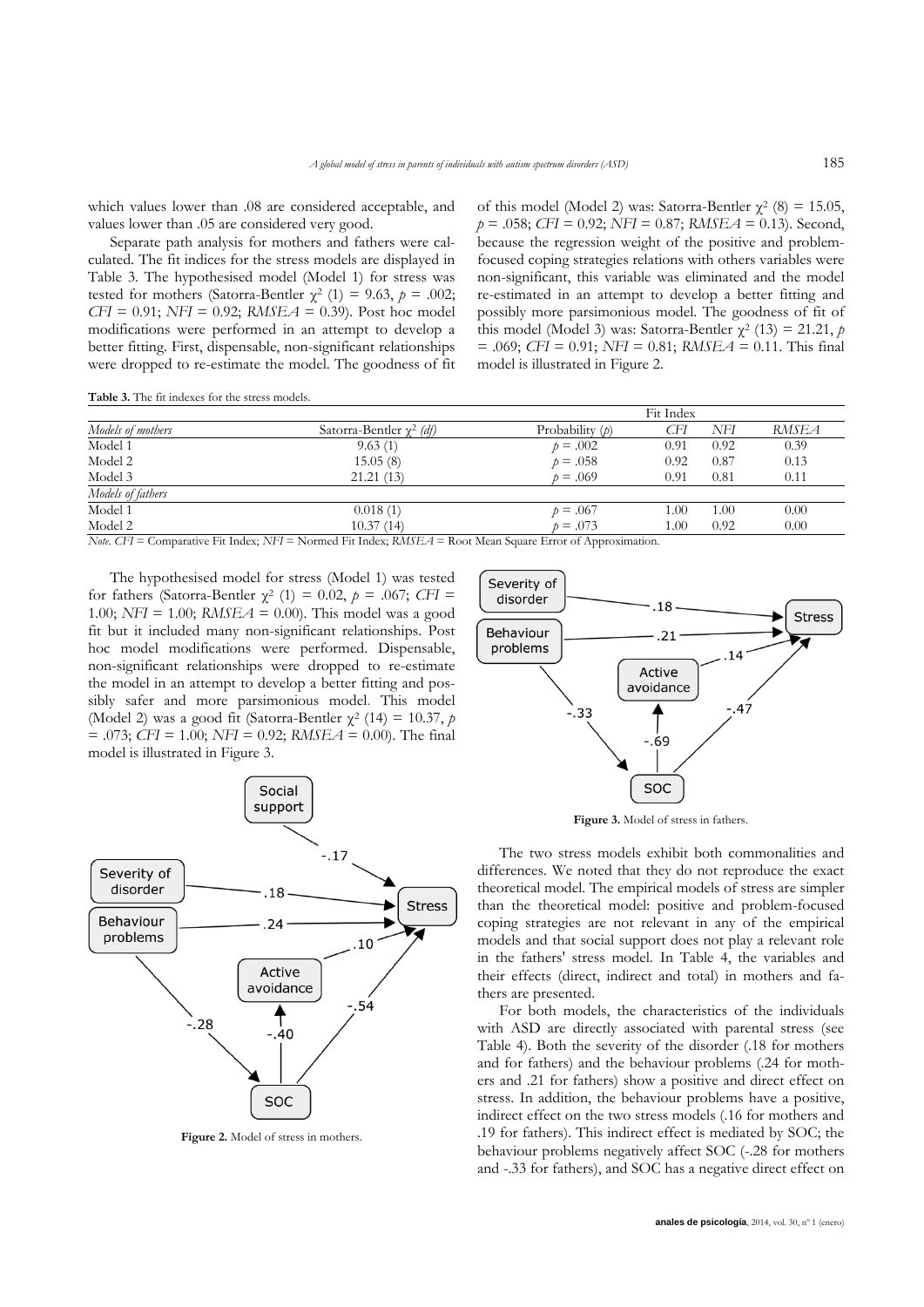which values lower than .08 are considered acceptable, and values lower than .05 are considered very good.

Separate path analysis for mothers and fathers were calculated. The fit indices for the stress models are displayed in Table 3. The hypothesised model (Model 1) for stress was tested for mothers (Satorra-Bentler  $\chi^2$  (1) = 9.63,  $p = .002$ ; *CFI* = 0.91; *NFI* = 0.92; *RMSEA* = 0.39). Post hoc model modifications were performed in an attempt to develop a better fitting. First, dispensable, non-significant relationships were dropped to re-estimate the model. The goodness of fit

of this model (Model 2) was: Satorra-Bentler  $\chi^2$  (8) = 15.05, *p* = .058; *CFI* = 0.92; *NFI* = 0.87; *RMSEA* = 0.13). Second, because the regression weight of the positive and problemfocused coping strategies relations with others variables were non-significant, this variable was eliminated and the model re-estimated in an attempt to develop a better fitting and possibly more parsimonious model. The goodness of fit of this model (Model 3) was: Satorra-Bentler  $\chi^2$  (13) = 21.21, *p* = .069; *CFI* = 0.91; *NFI* = 0.81; *RMSEA* = 0.11. This final model is illustrated in Figure 2.

**Table 3.** The fit indexes for the stress models.

|                                                                                                                                  |                                 |                   | Fit Index |      |       |  |  |
|----------------------------------------------------------------------------------------------------------------------------------|---------------------------------|-------------------|-----------|------|-------|--|--|
| Models of mothers                                                                                                                | Satorra-Bentler $\gamma^2$ (df) | Probability $(p)$ | CFI       | NFI  | RMSEA |  |  |
| Model 1                                                                                                                          | 9.63(1)                         | $p = .002$        | 0.91      | 0.92 | 0.39  |  |  |
| Model 2                                                                                                                          | 15.05(8)                        | $p = .058$        | 0.92      | 0.87 | 0.13  |  |  |
| Model 3                                                                                                                          | 21.21(13)                       | $p = .069$        | 0.91      | 0.81 | 0.11  |  |  |
| Models of fathers                                                                                                                |                                 |                   |           |      |       |  |  |
| Model 1                                                                                                                          | 0.018(1)                        | $p = .067$        | 1.00      | 1.00 | 0.00  |  |  |
| Model 2                                                                                                                          | 10.37(14)                       | $p = .073$        | 1.00      | 0.92 | 0.00  |  |  |
| <i>Note, CFI</i> = Comparative Fit Index: <i>NFI</i> = Normed Fit Index: <i>RMSEA</i> = Root Mean Square Error of Approximation. |                                 |                   |           |      |       |  |  |

*Note*. *CFI* = Comparative Fit Index; *NFI* = Normed Fit Index; *RMSEA* = Root Mean Square Error of Approximation.

The hypothesised model for stress (Model 1) was tested for fathers (Satorra-Bentler  $\chi^2$  (1) = 0.02,  $p = .067$ ; *CFI* = 1.00; *NFI* = 1.00; *RMSEA* = 0.00). This model was a good fit but it included many non-significant relationships. Post hoc model modifications were performed. Dispensable, non-significant relationships were dropped to re-estimate the model in an attempt to develop a better fitting and possibly safer and more parsimonious model. This model (Model 2) was a good fit (Satorra-Bentler  $\chi^2$  (14) = 10.37, *p* = .073; *CFI* = 1.00; *NFI* = 0.92; *RMSEA* = 0.00). The final model is illustrated in Figure 3.



**Figure 2.** Model of stress in mothers.



**Figure 3.** Model of stress in fathers.

The two stress models exhibit both commonalities and differences. We noted that they do not reproduce the exact theoretical model. The empirical models of stress are simpler than the theoretical model: positive and problem-focused coping strategies are not relevant in any of the empirical models and that social support does not play a relevant role in the fathers' stress model. In Table 4, the variables and their effects (direct, indirect and total) in mothers and fathers are presented.

For both models, the characteristics of the individuals with ASD are directly associated with parental stress (see Table 4). Both the severity of the disorder (.18 for mothers and for fathers) and the behaviour problems (.24 for mothers and .21 for fathers) show a positive and direct effect on stress. In addition, the behaviour problems have a positive, indirect effect on the two stress models (.16 for mothers and .19 for fathers). This indirect effect is mediated by SOC; the behaviour problems negatively affect SOC (-.28 for mothers and -.33 for fathers), and SOC has a negative direct effect on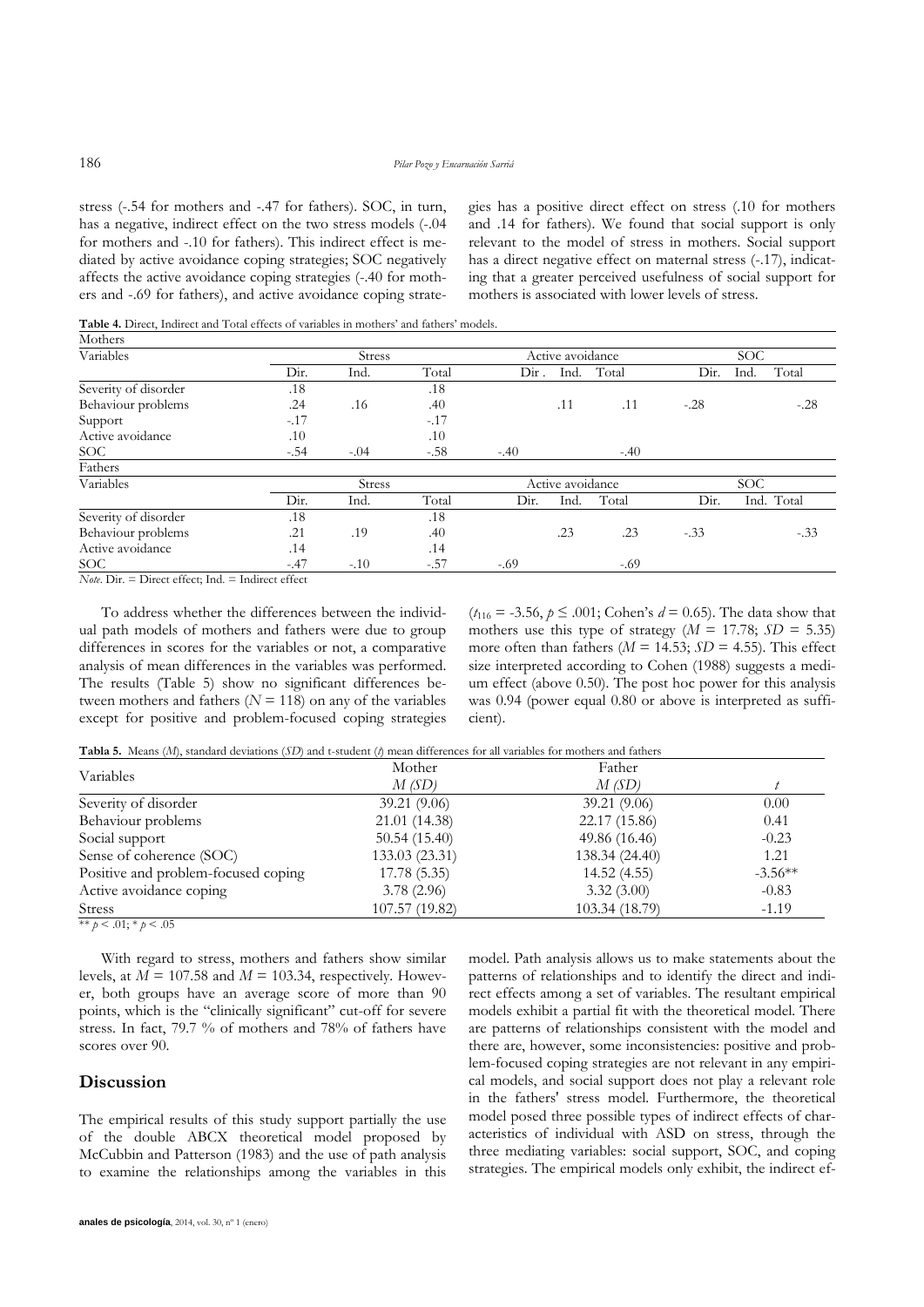stress (-.54 for mothers and -.47 for fathers). SOC, in turn, has a negative, indirect effect on the two stress models (-.04 for mothers and -.10 for fathers). This indirect effect is mediated by active avoidance coping strategies; SOC negatively affects the active avoidance coping strategies (-.40 for mothers and -.69 for fathers), and active avoidance coping strategies has a positive direct effect on stress (.10 for mothers and .14 for fathers). We found that social support is only relevant to the model of stress in mothers. Social support has a direct negative effect on maternal stress  $(-17)$ , indicating that a greater perceived usefulness of social support for mothers is associated with lower levels of stress.

**Table 4.** Direct, Indirect and Total effects of variables in mothers' and fathers' models.

| Mothers                          |        |               |        |        |                  |        |        |               |  |  |
|----------------------------------|--------|---------------|--------|--------|------------------|--------|--------|---------------|--|--|
| Variables                        |        | <b>Stress</b> |        |        | Active avoidance |        |        | <b>SOC</b>    |  |  |
|                                  | Dir.   | Ind.          | Total  | Dir.   | Ind.             | Total  | Dir.   | Total<br>Ind. |  |  |
| Severity of disorder             | .18    |               | .18    |        |                  |        |        |               |  |  |
| Behaviour problems               | .24    | .16           | .40    |        | .11              | .11    | $-.28$ | $-.28$        |  |  |
| Support                          | $-.17$ |               | $-.17$ |        |                  |        |        |               |  |  |
| Active avoidance                 | .10    |               | .10    |        |                  |        |        |               |  |  |
| SOC                              | $-.54$ | $-.04$        | $-.58$ | $-.40$ |                  | $-.40$ |        |               |  |  |
| Fathers                          |        |               |        |        |                  |        |        |               |  |  |
| Variables                        |        | Stress        |        |        | Active avoidance |        |        | SOC.          |  |  |
|                                  | Dir.   | Ind.          | Total  | Dir.   | Ind.             | Total  | Dir.   | Total<br>Ind. |  |  |
| Severity of disorder             | .18    |               | .18    |        |                  |        |        |               |  |  |
| Behaviour problems               | .21    | .19           | .40    |        | .23              | .23    | $-.33$ | $-.33$        |  |  |
| Active avoidance                 | .14    |               | .14    |        |                  |        |        |               |  |  |
| SOC <sub>1</sub><br>$ -$<br>$ -$ | $-.47$ | $-.10$        | $-.57$ | $-.69$ |                  | $-.69$ |        |               |  |  |

 $$ 

To address whether the differences between the individual path models of mothers and fathers were due to group differences in scores for the variables or not, a comparative analysis of mean differences in the variables was performed. The results (Table 5) show no significant differences between mothers and fathers ( $N = 118$ ) on any of the variables except for positive and problem-focused coping strategies  $(t_{116} = -3.56, p \le 0.001; \text{Cohen's } d = 0.65)$ . The data show that mothers use this type of strategy  $(M = 17.78; SD = 5.35)$ more often than fathers ( $M = 14.53$ ;  $SD = 4.55$ ). This effect size interpreted according to Cohen (1988) suggests a medium effect (above 0.50). The post hoc power for this analysis was 0.94 (power equal 0.80 or above is interpreted as sufficient).

**Tabla 5.** Means (*M*), standard deviations (*SD*) and t-student (*t*) mean differences for all variables for mothers and fathers

| Mother         | Father         |           |
|----------------|----------------|-----------|
| M(SD)          | M(SD)          |           |
| 39.21(9.06)    | 39.21(9.06)    | 0.00      |
| 21.01 (14.38)  | 22.17 (15.86)  | 0.41      |
| 50.54(15.40)   | 49.86 (16.46)  | $-0.23$   |
| 133.03 (23.31) | 138.34 (24.40) | 1.21      |
| 17.78 (5.35)   | 14.52(4.55)    | $-3.56**$ |
| 3.78(2.96)     | 3.32(3.00)     | $-0.83$   |
| 107.57 (19.82) | 103.34 (18.79) | $-1.19$   |
|                |                |           |

\*\*  $p < .01$ ; \*  $p < .05$ 

With regard to stress, mothers and fathers show similar levels, at  $M = 107.58$  and  $M = 103.34$ , respectively. However, both groups have an average score of more than 90 points, which is the "clinically significant" cut-off for severe stress. In fact, 79.7 % of mothers and 78% of fathers have scores over 90.

## **Discussion**

The empirical results of this study support partially the use of the double ABCX theoretical model proposed by McCubbin and Patterson (1983) and the use of path analysis to examine the relationships among the variables in this model. Path analysis allows us to make statements about the patterns of relationships and to identify the direct and indirect effects among a set of variables. The resultant empirical models exhibit a partial fit with the theoretical model. There are patterns of relationships consistent with the model and there are, however, some inconsistencies: positive and problem-focused coping strategies are not relevant in any empirical models, and social support does not play a relevant role in the fathers' stress model. Furthermore, the theoretical model posed three possible types of indirect effects of characteristics of individual with ASD on stress, through the three mediating variables: social support, SOC, and coping strategies. The empirical models only exhibit, the indirect ef-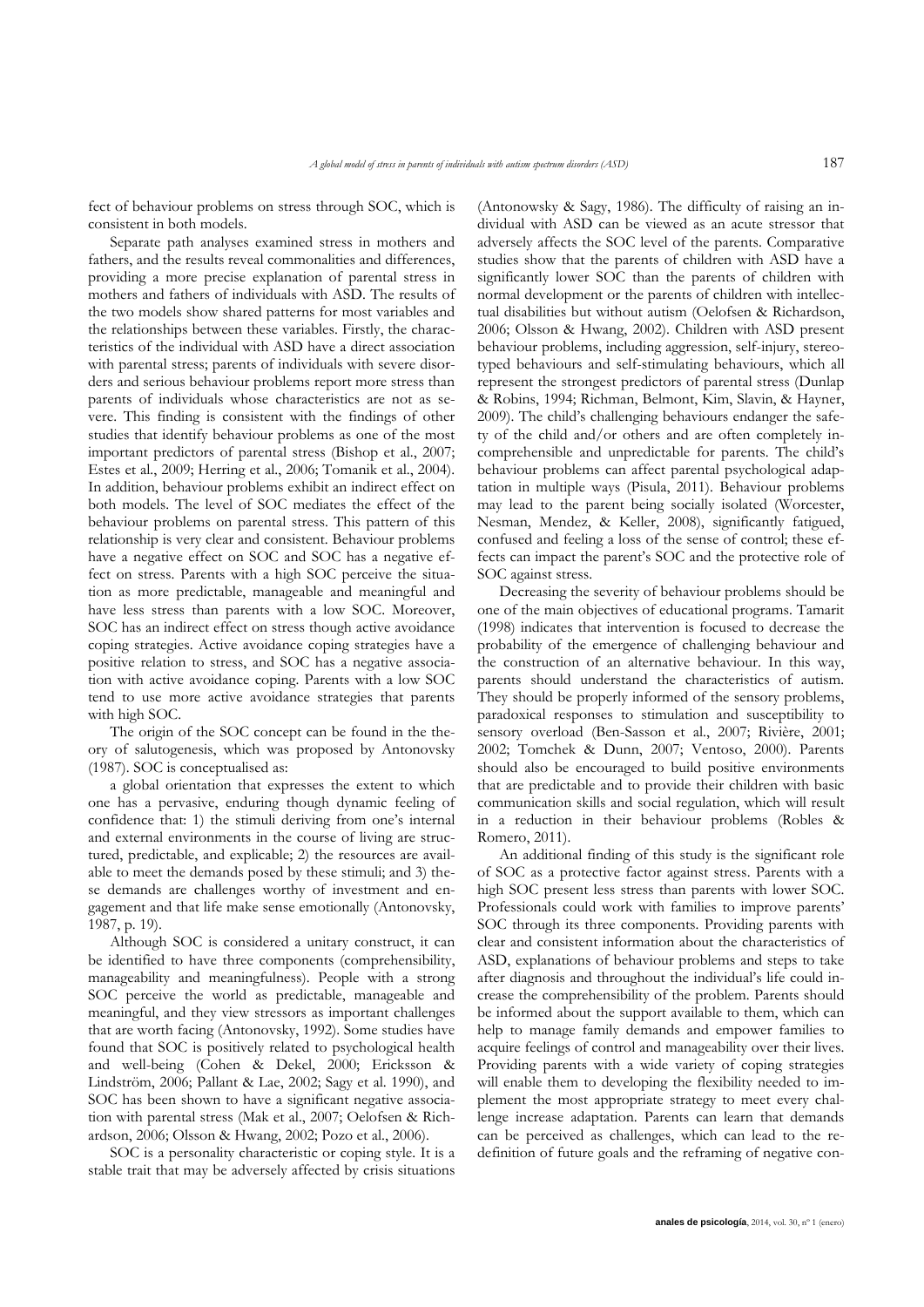fect of behaviour problems on stress through SOC, which is consistent in both models.

Separate path analyses examined stress in mothers and fathers, and the results reveal commonalities and differences, providing a more precise explanation of parental stress in mothers and fathers of individuals with ASD. The results of the two models show shared patterns for most variables and the relationships between these variables. Firstly, the characteristics of the individual with ASD have a direct association with parental stress; parents of individuals with severe disorders and serious behaviour problems report more stress than parents of individuals whose characteristics are not as severe. This finding is consistent with the findings of other studies that identify behaviour problems as one of the most important predictors of parental stress (Bishop et al., 2007; Estes et al., 2009; Herring et al., 2006; Tomanik et al., 2004). In addition, behaviour problems exhibit an indirect effect on both models. The level of SOC mediates the effect of the behaviour problems on parental stress. This pattern of this relationship is very clear and consistent. Behaviour problems have a negative effect on SOC and SOC has a negative effect on stress. Parents with a high SOC perceive the situation as more predictable, manageable and meaningful and have less stress than parents with a low SOC. Moreover, SOC has an indirect effect on stress though active avoidance coping strategies. Active avoidance coping strategies have a positive relation to stress, and SOC has a negative association with active avoidance coping. Parents with a low SOC tend to use more active avoidance strategies that parents with high SOC.

The origin of the SOC concept can be found in the theory of salutogenesis, which was proposed by Antonovsky (1987). SOC is conceptualised as:

a global orientation that expresses the extent to which one has a pervasive, enduring though dynamic feeling of confidence that: 1) the stimuli deriving from one's internal and external environments in the course of living are structured, predictable, and explicable; 2) the resources are available to meet the demands posed by these stimuli; and 3) these demands are challenges worthy of investment and engagement and that life make sense emotionally (Antonovsky, 1987, p. 19).

Although SOC is considered a unitary construct, it can be identified to have three components (comprehensibility, manageability and meaningfulness). People with a strong SOC perceive the world as predictable, manageable and meaningful, and they view stressors as important challenges that are worth facing (Antonovsky, 1992). Some studies have found that SOC is positively related to psychological health and well-being (Cohen & Dekel, 2000; Ericksson & Lindström, 2006; Pallant & Lae, 2002; Sagy et al. 1990), and SOC has been shown to have a significant negative association with parental stress (Mak et al., 2007; Oelofsen & Richardson, 2006; Olsson & Hwang, 2002; Pozo et al., 2006).

SOC is a personality characteristic or coping style. It is a stable trait that may be adversely affected by crisis situations (Antonowsky & Sagy, 1986). The difficulty of raising an individual with ASD can be viewed as an acute stressor that adversely affects the SOC level of the parents. Comparative studies show that the parents of children with ASD have a significantly lower SOC than the parents of children with normal development or the parents of children with intellectual disabilities but without autism (Oelofsen & Richardson, 2006; Olsson & Hwang, 2002). Children with ASD present behaviour problems, including aggression, self-injury, stereotyped behaviours and self-stimulating behaviours, which all represent the strongest predictors of parental stress (Dunlap & Robins, 1994; Richman, Belmont, Kim, Slavin, & Hayner, 2009). The child's challenging behaviours endanger the safety of the child and/or others and are often completely incomprehensible and unpredictable for parents. The child's behaviour problems can affect parental psychological adaptation in multiple ways (Pisula, 2011). Behaviour problems may lead to the parent being socially isolated (Worcester, Nesman, Mendez, & Keller, 2008), significantly fatigued, confused and feeling a loss of the sense of control; these effects can impact the parent's SOC and the protective role of SOC against stress.

Decreasing the severity of behaviour problems should be one of the main objectives of educational programs. Tamarit (1998) indicates that intervention is focused to decrease the probability of the emergence of challenging behaviour and the construction of an alternative behaviour. In this way, parents should understand the characteristics of autism. They should be properly informed of the sensory problems, paradoxical responses to stimulation and susceptibility to sensory overload (Ben-Sasson et al., 2007; Rivière, 2001; 2002; Tomchek & Dunn, 2007; Ventoso, 2000). Parents should also be encouraged to build positive environments that are predictable and to provide their children with basic communication skills and social regulation, which will result in a reduction in their behaviour problems (Robles & Romero, 2011).

An additional finding of this study is the significant role of SOC as a protective factor against stress. Parents with a high SOC present less stress than parents with lower SOC. Professionals could work with families to improve parents' SOC through its three components. Providing parents with clear and consistent information about the characteristics of ASD, explanations of behaviour problems and steps to take after diagnosis and throughout the individual's life could increase the comprehensibility of the problem. Parents should be informed about the support available to them, which can help to manage family demands and empower families to acquire feelings of control and manageability over their lives. Providing parents with a wide variety of coping strategies will enable them to developing the flexibility needed to implement the most appropriate strategy to meet every challenge increase adaptation. Parents can learn that demands can be perceived as challenges, which can lead to the redefinition of future goals and the reframing of negative con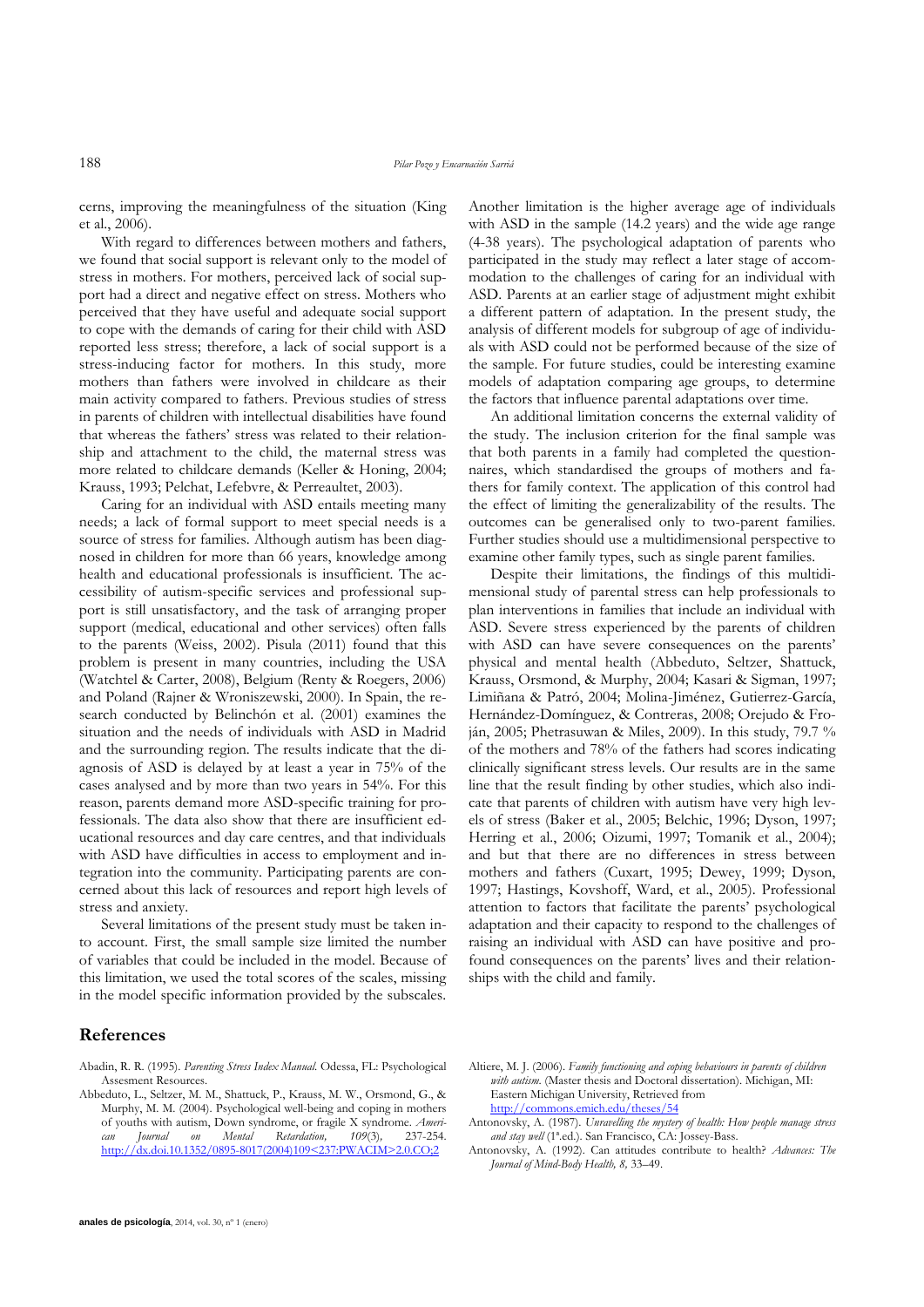cerns, improving the meaningfulness of the situation (King et al., 2006).

With regard to differences between mothers and fathers, we found that social support is relevant only to the model of stress in mothers. For mothers, perceived lack of social support had a direct and negative effect on stress. Mothers who perceived that they have useful and adequate social support to cope with the demands of caring for their child with ASD reported less stress; therefore, a lack of social support is a stress-inducing factor for mothers. In this study, more mothers than fathers were involved in childcare as their main activity compared to fathers. Previous studies of stress in parents of children with intellectual disabilities have found that whereas the fathers' stress was related to their relationship and attachment to the child, the maternal stress was more related to childcare demands (Keller & Honing, 2004; Krauss, 1993; Pelchat, Lefebvre, & Perreaultet, 2003).

Caring for an individual with ASD entails meeting many needs; a lack of formal support to meet special needs is a source of stress for families. Although autism has been diagnosed in children for more than 66 years, knowledge among health and educational professionals is insufficient. The accessibility of autism-specific services and professional support is still unsatisfactory, and the task of arranging proper support (medical, educational and other services) often falls to the parents (Weiss, 2002). Pisula (2011) found that this problem is present in many countries, including the USA (Watchtel & Carter, 2008), Belgium (Renty & Roegers, 2006) and Poland (Rajner & Wroniszewski, 2000). In Spain, the research conducted by Belinchón et al. (2001) examines the situation and the needs of individuals with ASD in Madrid and the surrounding region. The results indicate that the diagnosis of ASD is delayed by at least a year in 75% of the cases analysed and by more than two years in 54%. For this reason, parents demand more ASD-specific training for professionals. The data also show that there are insufficient educational resources and day care centres, and that individuals with ASD have difficulties in access to employment and integration into the community. Participating parents are concerned about this lack of resources and report high levels of stress and anxiety.

Several limitations of the present study must be taken into account. First, the small sample size limited the number of variables that could be included in the model. Because of this limitation, we used the total scores of the scales, missing in the model specific information provided by the subscales. Another limitation is the higher average age of individuals with ASD in the sample (14.2 years) and the wide age range (4-38 years). The psychological adaptation of parents who participated in the study may reflect a later stage of accommodation to the challenges of caring for an individual with ASD. Parents at an earlier stage of adjustment might exhibit a different pattern of adaptation. In the present study, the analysis of different models for subgroup of age of individuals with ASD could not be performed because of the size of the sample. For future studies, could be interesting examine models of adaptation comparing age groups, to determine the factors that influence parental adaptations over time.

An additional limitation concerns the external validity of the study. The inclusion criterion for the final sample was that both parents in a family had completed the questionnaires, which standardised the groups of mothers and fathers for family context. The application of this control had the effect of limiting the generalizability of the results. The outcomes can be generalised only to two-parent families. Further studies should use a multidimensional perspective to examine other family types, such as single parent families*.*

Despite their limitations, the findings of this multidimensional study of parental stress can help professionals to plan interventions in families that include an individual with ASD. Severe stress experienced by the parents of children with ASD can have severe consequences on the parents' physical and mental health (Abbeduto, Seltzer, Shattuck, Krauss, Orsmond, & Murphy, 2004; Kasari & Sigman, 1997; Limiñana & Patró, 2004; Molina-Jiménez, Gutierrez-García, Hernández-Domínguez, & Contreras, 2008; Orejudo & Froján, 2005; Phetrasuwan & Miles, 2009). In this study, 79.7 % of the mothers and 78% of the fathers had scores indicating clinically significant stress levels. Our results are in the same line that the result finding by other studies, which also indicate that parents of children with autism have very high levels of stress (Baker et al., 2005; Belchic, 1996; Dyson, 1997; Herring et al., 2006; Oizumi, 1997; Tomanik et al., 2004); and but that there are no differences in stress between mothers and fathers (Cuxart, 1995; Dewey, 1999; Dyson, 1997; Hastings, Kovshoff, Ward, et al., 2005). Professional attention to factors that facilitate the parents' psychological adaptation and their capacity to respond to the challenges of raising an individual with ASD can have positive and profound consequences on the parents' lives and their relationships with the child and family.

## **References**

- Abadin, R. R. (1995). *Parenting Stress Index Manual.* Odessa, FL: Psychological Assesment Resources.
- Abbeduto, L., Seltzer, M. M., Shattuck, P., Krauss, M. W., Orsmond, G., & Murphy, M. M. (2004). Psychological well-being and coping in mothers of youths with autism, Down syndrome, or fragile X syndrome. *American Journal on Mental Retardation, 109*(3)*,* 237-254. [http://dx.doi.10.1352/0895-8017\(2004\)109<237:PWACIM>2.0.CO;2](http://dx.doi.10.1352/0895-8017(2004)109%3c237:PWACIM%3e2.0.CO;2)
- Altiere, M. J. (2006). *Family functioning and coping behaviours in parents of children with autism*. (Master thesis and Doctoral dissertation). Michigan, MI: Eastern Michigan University, Retrieved from <http://commons.emich.edu/theses/54>
- Antonovsky, A. (1987). *Unravelling the mystery of health: How people manage stress and stay well* (1ª.ed.). San Francisco, CA: Jossey-Bass.
- Antonovsky, A. (1992). Can attitudes contribute to health? *Advances: The Journal of Mind-Body Health, 8,* 33–49.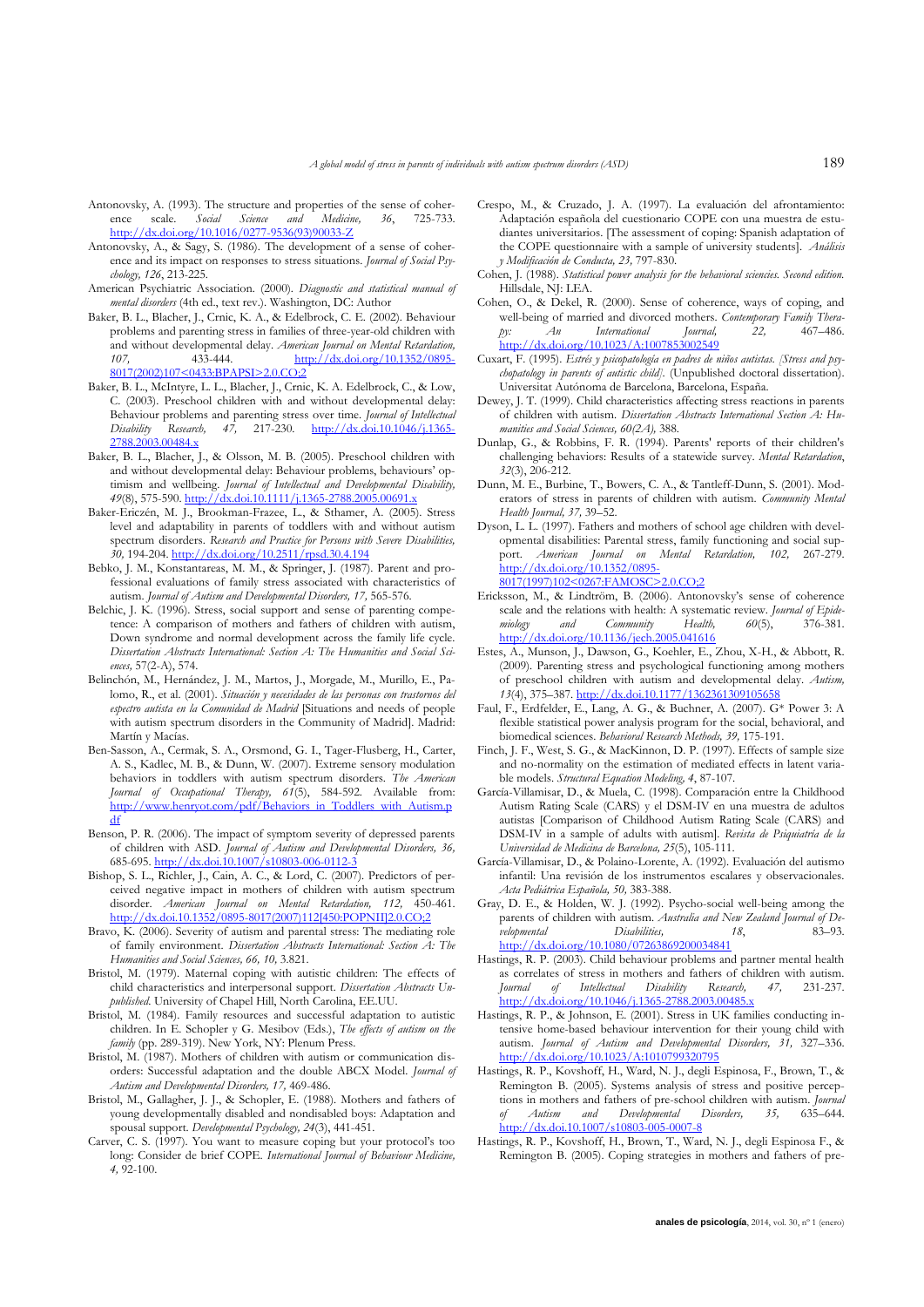- Antonovsky, A. (1993). The structure and properties of the sense of coher-<br>ence scale. Social Science and Medicine. 36. 725-733. ence scale. *Social Science and* [http://dx.doi.org/10.1016/0277-9536\(93\)90033-Z](http://dx.doi.org/10.1016/0277-9536%2893%2990033-Z)
- Antonovsky, A., & Sagy, S. (1986). The development of a sense of coherence and its impact on responses to stress situations. *Journal of Social Psychology, 126*, 213-225.
- American Psychiatric Association. (2000). *Diagnostic and statistical manual of mental disorders* (4th ed., text rev.). Washington, DC: Author
- Baker, B. L., Blacher, J., Crnic, K. A., & Edelbrock, C. E. (2002). Behaviour problems and parenting stress in families of three-year-old children with and without developmental delay. *American Journal on Mental Retardation, 107,* 433-444. [http://dx.doi.org/10.1352/0895-](http://dx.doi.org/10.1352%2F0895-8017%282002%29107%3C0433%3ABPAPSI%3E2.0.CO%3B2) [8017\(2002\)107<0433:BPAPSI>2.0.CO;2](http://dx.doi.org/10.1352%2F0895-8017%282002%29107%3C0433%3ABPAPSI%3E2.0.CO%3B2)
- Baker, B. L., McIntyre, L. L., Blacher, J., Crnic, K. A. Edelbrock, C., & Low, C. (2003). Preschool children with and without developmental delay: Behaviour problems and parenting stress over time. *Journal of Intellectual Disability Research, 47,* 217-230. [http://dx.doi.10.1046/j.1365-](http://dx.doi.10.1046/j.1365-2788.2003.00484.x) [2788.2003.00484.x](http://dx.doi.10.1046/j.1365-2788.2003.00484.x)
- Baker, B. L., Blacher, J., & Olsson, M. B. (2005). Preschool children with and without developmental delay: Behaviour problems, behaviours' optimism and wellbeing. *Journal of Intellectual and Developmental Disability, 49*(8), 575-590[. http://dx.doi.10.1111/j.1365-2788.2005.00691.x](http://dx.doi.10.1111/j.1365-2788.2005.00691.x)
- Baker-Ericzén, M. J., Brookman-Frazee, L., & Sthamer, A. (2005). Stress level and adaptability in parents of toddlers with and without autism spectrum disorders. *Research and Practice for Persons with Severe Disabilities, 30,* 194-204. <http://dx.doi.org/10.2511/rpsd.30.4.194>
- Bebko, J. M., Konstantareas, M. M., & Springer, J. (1987). Parent and professional evaluations of family stress associated with characteristics of autism. *Journal of Autism and Developmental Disorders, 17,* 565-576.
- Belchic, J. K. (1996). Stress, social support and sense of parenting competence: A comparison of mothers and fathers of children with autism, Down syndrome and normal development across the family life cycle. *Dissertation Abstracts International: Section A: The Humanities and Social Sciences,* 57(2-A), 574.
- Belinchón, M., Hernández, J. M., Martos, J., Morgade, M., Murillo, E., Palomo, R., et al. (2001). *Situación y necesidades de las personas con trastornos del espectro autista en la Comunidad de Madrid* [Situations and needs of people with autism spectrum disorders in the Community of Madrid]. Madrid: Martín y Macías.
- Ben-Sasson, A., Cermak, S. A., Orsmond, G. I., Tager-Flusberg, H., Carter, A. S., Kadlec, M. B., & Dunn, W. (2007). Extreme sensory modulation behaviors in toddlers with autism spectrum disorders. *The American Journal of Occupational Therapy, 61*(5), 584-592. Available from: [http://www.henryot.com/pdf/Behaviors\\_in\\_Toddlers\\_with\\_Autism.p](http://www.henryot.com/pdf/Behaviors_in_Toddlers_with_Autism.pdf) [df](http://www.henryot.com/pdf/Behaviors_in_Toddlers_with_Autism.pdf)
- Benson, P. R. (2006). The impact of symptom severity of depressed parents of children with ASD. *Journal of Autism and Developmental Disorders, 36,* 685-695. <http://dx.doi.10.1007/s10803-006-0112-3>
- Bishop, S. L., Richler, J., Cain, A. C., & Lord, C. (2007). Predictors of perceived negative impact in mothers of children with autism spectrum disorder. *American Journal on Mental Retardation, 112,* 450-461. [http://dx.doi.10.1352/0895-8017\(2007\)112\[450:POPNII\]2.0.CO;2](http://dx.doi.10.1352/0895-8017(2007)112%5b450:POPNII%5d2.0.CO;2)
- Bravo, K. (2006). Severity of autism and parental stress: The mediating role of family environment. *Dissertation Abstracts International: Section A: The Humanities and Social Sciences, 66, 10,* 3.821.
- Bristol, M. (1979). Maternal coping with autistic children: The effects of child characteristics and interpersonal support. *Dissertation Abstracts Unpublished*. University of Chapel Hill, North Carolina, EE.UU.
- Bristol, M. (1984). Family resources and successful adaptation to autistic children. In E. Schopler y G. Mesibov (Eds.), *The effects of autism on the family* (pp. 289-319). New York, NY: Plenum Press.
- Bristol, M. (1987). Mothers of children with autism or communication disorders: Successful adaptation and the double ABCX Model. *Journal of Autism and Developmental Disorders, 17,* 469-486.
- Bristol, M., Gallagher, J. J., & Schopler, E. (1988). Mothers and fathers of young developmentally disabled and nondisabled boys: Adaptation and spousal support. *Developmental Psychology, 24*(3), 441-451.
- Carver, C. S. (1997). You want to measure coping but your protocol's too long: Consider de brief COPE. *International Journal of Behaviour Medicine, 4,* 92-100.
- Crespo, M., & Cruzado, J. A. (1997). La evaluación del afrontamiento: Adaptación española del cuestionario COPE con una muestra de estudiantes universitarios. [The assessment of coping: Spanish adaptation of the COPE questionnaire with a sample of university students]. *Análisis y Modificación de Conducta, 23,* 797-830.
- Cohen, J. (1988). *Statistical power analysis for the behavioral sciencies. Second edition.*  Hillsdale, NJ: LEA.
- Cohen, O., & Dekel, R. (2000). Sense of coherence, ways of coping, and well-being of married and divorced mothers. *Contemporary Family Thera-*<br> *py:* An International Journal, 22, 467-486. py: An International <http://dx.doi.org/10.1023/A:1007853002549>
- Cuxart, F. (1995). *Estrés y psicopatología en padres de niños autistas. [Stress and psychopatology in parents of autistic child].* (Unpublished doctoral dissertation). Universitat Autónoma de Barcelona, Barcelona, España.
- Dewey, J. T. (1999). Child characteristics affecting stress reactions in parents of children with autism. *Dissertation Abstracts International Section A: Humanities and Social Sciences, 60(2A),* 388.
- Dunlap, G., & Robbins, F. R. (1994). Parents' reports of their children's challenging behaviors: Results of a statewide survey. *Mental Retardation*, *32*(3), 206-212.
- Dunn, M. E., Burbine, T., Bowers, C. A., & Tantleff-Dunn, S. (2001). Moderators of stress in parents of children with autism. *Community Mental Health Journal, 37,* 39–52.
- Dyson, L. L. (1997). Fathers and mothers of school age children with developmental disabilities: Parental stress, family functioning and social support. *American Journal on Mental Retardation, 102,* 267-279. [http://dx.doi.org/10.1352/0895-](http://dx.doi.org/10.1352%2F0895-8017%281997%29102%3C0267%3AFAMOSC%3E2.0.CO%3B2)

[8017\(1997\)102<0267:FAMOSC>2.0.CO;2](http://dx.doi.org/10.1352%2F0895-8017%281997%29102%3C0267%3AFAMOSC%3E2.0.CO%3B2)

- Ericksson, M., & Lindtröm, B. (2006). Antonovsky's sense of coherence scale and the relations with health: A systematic review. *Journal of Epidemiology and Community Health, 60*(5), 376-381. [http://dx.doi.org/10.1136/jech.2005.041616](http://dx.doi.org/10.1136%2Fjech.2005.041616)
- Estes, A., Munson, J., Dawson, G., Koehler, E., Zhou, X-H., & Abbott, R. (2009). Parenting stress and psychological functioning among mothers of preschool children with autism and developmental delay. *Autism, 13*(4), 375–387. <http://dx.doi.10.1177/1362361309105658>
- Faul, F., Erdfelder, E., Lang, A. G., & Buchner, A. (2007). G\* Power 3: A flexible statistical power analysis program for the social, behavioral, and biomedical sciences. *Behavioral Research Methods, 39,* 175-191.
- Finch, J. F., West, S. G., & MacKinnon, D. P. (1997). Effects of sample size and no-normality on the estimation of mediated effects in latent variable models. *Structural Equation Modeling, 4*, 87-107.
- García-Villamisar, D., & Muela, C. (1998). Comparación entre la Childhood Autism Rating Scale (CARS) y el DSM-IV en una muestra de adultos autistas [Comparison of Childhood Autism Rating Scale (CARS) and DSM-IV in a sample of adults with autism]. *Revista de Psiquiatría de la Universidad de Medicina de Barcelona, 25*(5), 105-111.
- García-Villamisar, D., & Polaino-Lorente, A. (1992). Evaluación del autismo infantil: Una revisión de los instrumentos escalares y observacionales. *Acta Pediátrica Española, 50,* 383-388.
- Gray, D. E., & Holden, W. J. (1992). Psycho-social well-being among the parents of children with autism. *Australia and New Zealand Journal of Developmental Disabilities*, 18, 83–93. <http://dx.doi.org/10.1080/07263869200034841>
- Hastings, R. P. (2003). Child behaviour problems and partner mental health as correlates of stress in mothers and fathers of children with autism. *Journal of Intellectual Disability Research, 47,* 231-237. <http://dx.doi.org/10.1046/j.1365-2788.2003.00485.x>
- Hastings, R. P., & Johnson, E. (2001). Stress in UK families conducting intensive home-based behaviour intervention for their young child with autism. *Journal of Autism and Developmental Disorders, 31,* 327–336. <http://dx.doi.org/10.1023/A:1010799320795>
- Hastings, R. P., Kovshoff, H., Ward, N. J., degli Espinosa, F., Brown, T., & Remington B. (2005). Systems analysis of stress and positive perceptions in mothers and fathers of pre-school children with autism. *Journal of Autism and Developmental Disorders, 35,* 635–644. <http://dx.doi.10.1007/s10803-005-0007-8>
- Hastings, R. P., Kovshoff, H., Brown, T., Ward, N. J., degli Espinosa F., & Remington B. (2005). Coping strategies in mothers and fathers of pre-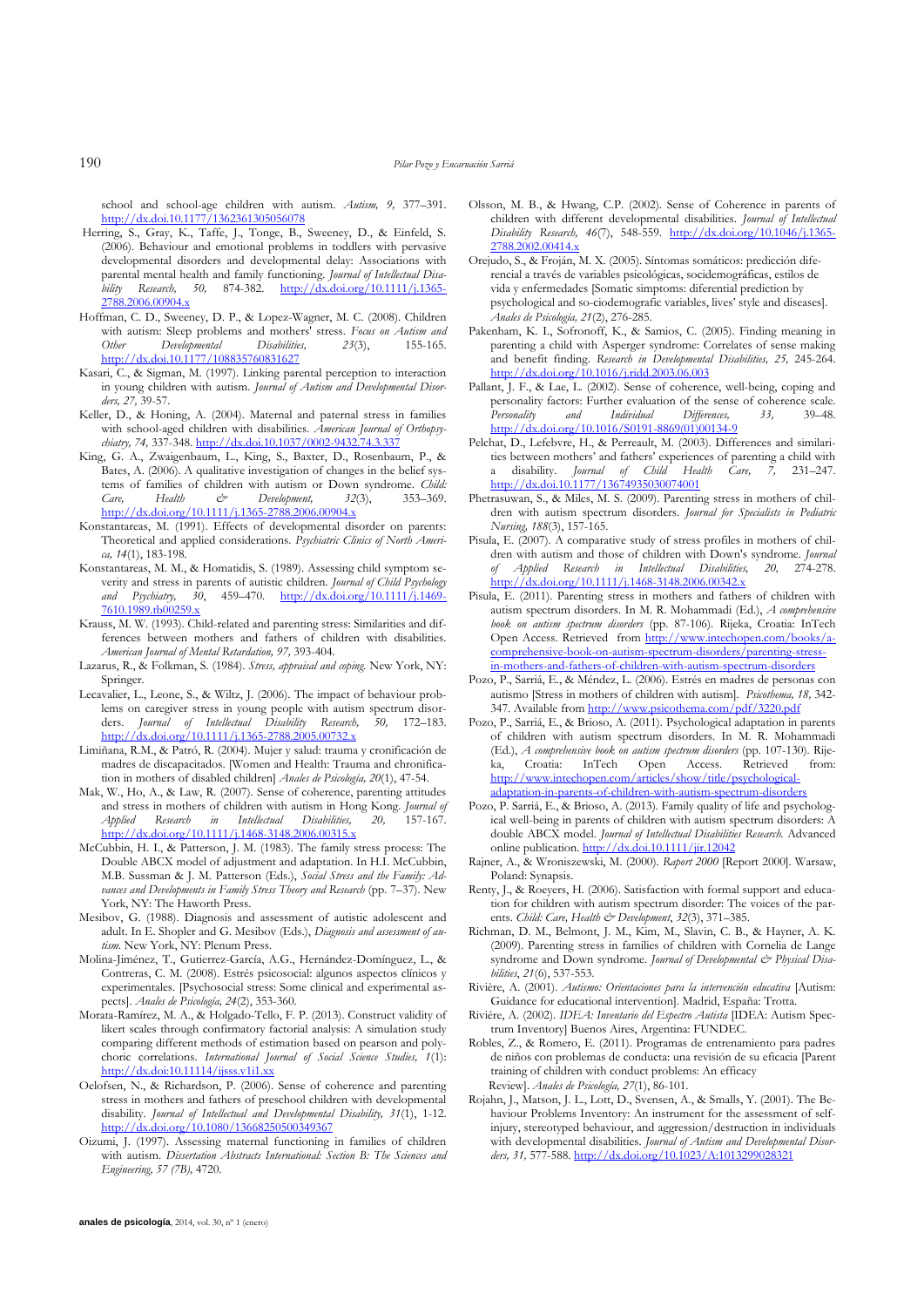school and school-age children with autism. *Autism, 9,* 377–391. <http://dx.doi.10.1177/1362361305056078>

- Herring, S., Gray, K., Taffe, J., Tonge, B., Sweeney, D., & Einfeld, S. (2006). Behaviour and emotional problems in toddlers with pervasive developmental disorders and developmental delay: Associations with parental mental health and family functioning. *Journal of Intellectual Disability Research, 50,* 874-382. [http://dx.doi.org/10.1111/j.1365-](http://dx.doi.org/10.1111/j.1365-2788.2006.00904.x) [2788.2006.00904.x](http://dx.doi.org/10.1111/j.1365-2788.2006.00904.x)
- Hoffman, C. D., Sweeney, D. P., & Lopez-Wagner, M. C. (2008). Children with autism: Sleep problems and mothers<sup>T</sup> stress. *Focus on Autism and Other* Developmental Disabilities, 23(3), 155-165. *Other Developmental Disabilities, 23*(3), 155-165. <http://dx.doi.10.1177/108835760831627>
- Kasari, C., & Sigman, M. (1997). Linking parental perception to interaction in young children with autism. *Journal of Autism and Developmental Disorders, 27,* 39-57.
- Keller, D., & Honing, A. (2004). Maternal and paternal stress in families with school-aged children with disabilities. *American Journal of Orthopsychiatry, 74,* 337-348. <http://dx.doi.10.1037/0002-9432.74.3.337>
- King, G. A., Zwaigenbaum, L., King, S., Baxter, D., Rosenbaum, P., & Bates, A. (2006). A qualitative investigation of changes in the belief systems of families of children with autism or Down syndrome. *Child: Care, Health & Development, 32*(3), 353–369. http://dx.doi.org/10.1111/j.1365-2788.2006.00904.x
- Konstantareas, M. (1991). Effects of developmental disorder on parents: Theoretical and applied considerations. *Psychiatric Clinics of North America, 14*(1), 183-198.
- Konstantareas, M. M., & Homatidis, S. (1989). Assessing child symptom severity and stress in parents of autistic children. *Journal of Child Psychology and Psychiatry, 30*, 459–470. [http://dx.doi.org/10.1111/j.1469-](http://dx.doi.org/10.1111/j.1469-7610.1989.tb00259.x) [7610.1989.tb00259.x](http://dx.doi.org/10.1111/j.1469-7610.1989.tb00259.x)
- Krauss, M. W. (1993). Child-related and parenting stress: Similarities and differences between mothers and fathers of children with disabilities. *American Journal of Mental Retardation, 97,* 393-404.
- Lazarus, R., & Folkman, S. (1984). *Stress, appraisal and coping.* New York, NY: Springer.
- Lecavalier, L., Leone, S., & Wiltz, J. (2006). The impact of behaviour problems on caregiver stress in young people with autism spectrum disorders. *Journal of Intellectual Disability Research, 50,* 172–183. <http://dx.doi.org/10.1111/j.1365-2788.2005.00732.x>
- Limiñana, R.M., & Patró, R. (2004). Mujer y salud: trauma y cronificación de madres de discapacitados. [Women and Health: Trauma and chronification in mothers of disabled children] *Anales de Psicología, 20*(1), 47-54.
- Mak, W., Ho, A., & Law, R. (2007). Sense of coherence, parenting attitudes and stress in mothers of children with autism in Hong Kong. *Journal of Applied Research in Intellectual Disabilities, 20,* 157-167. <http://dx.doi.org/10.1111/j.1468-3148.2006.00315.x>
- McCubbin, H. I., & Patterson, J. M. (1983). The family stress process: The Double ABCX model of adjustment and adaptation. In H.I. McCubbin, M.B. Sussman & J. M. Patterson (Eds.), *Social Stress and the Family: Advances and Developments in Family Stress Theory and Research* (pp. 7–37). New York, NY: The Haworth Press.
- Mesibov, G. (1988). Diagnosis and assessment of autistic adolescent and adult. In E. Shopler and G. Mesibov (Eds.), *Diagnosis and assessment of autism.* New York, NY: Plenum Press.
- Molina-Jiménez, T., Gutierrez-García, A.G., Hernández-Domínguez, L., & Contreras, C. M. (2008). Estrés psicosocial: algunos aspectos clínicos y experimentales. [Psychosocial stress: Some clinical and experimental aspects]. *Anales de Psicología, 24*(2), 353-360.
- Morata-Ramírez, M. A., & Holgado-Tello, F. P. (2013). Construct validity of likert scales through confirmatory factorial analysis: A simulation study comparing different methods of estimation based on pearson and polychoric correlations. *International Journal of Social Science Studies, 1*(1): <http://dx.doi:10.11114/ijsss.v1i1.xx>
- Oelofsen, N., & Richardson, P. (2006). Sense of coherence and parenting stress in mothers and fathers of preschool children with developmental disability. *Journal of Intellectual and Developmental Disability, 31*(1), 1-12. <http://dx.doi.org/10.1080/13668250500349367>
- Oizumi, J. (1997). Assessing maternal functioning in families of children with autism. *Dissertation Abstracts International: Section B: The Sciences and Engineering, 57 (7B),* 4720.
- Olsson, M. B., & Hwang, C.P. (2002). Sense of Coherence in parents of children with different developmental disabilities. *Journal of Intellectual Disability Research, 46*(7), 548-559. [http://dx.doi.org/10.1046/j.1365-](http://dx.doi.org/10.1046%2Fj.1365-2788.2002.00414.x) [2788.2002.00414.x](http://dx.doi.org/10.1046%2Fj.1365-2788.2002.00414.x)
- Orejudo, S., & Froján, M. X. (2005). Síntomas somáticos: predicción diferencial a través de variables psicológicas, socidemográficas, estilos de vida y enfermedades [Somatic simptoms: diferential prediction by psychological and so-ciodemografic variables, lives' style and diseases]. *Anales de Psicología, 21*(2), 276-285.
- Pakenham, K. I., Sofronoff, K., & Samios, C. (2005). Finding meaning in parenting a child with Asperger syndrome: Correlates of sense making and benefit finding. *Research in Developmental Disabilities, 25,* 245-264. <http://dx.doi.org/10.1016/j.ridd.2003.06.003>
- Pallant, J. F., & Lae, L. (2002). Sense of coherence, well-being, coping and personality factors: Further evaluation of the sense of coherence scale.<br> *Personality* and Individual Differences. 33. 39–48. *Personality* and Individual Differences, 33, [http://dx.doi.org/10.1016/S0191-8869\(01\)00134-9](http://dx.doi.org/10.1016/S0191-8869%2801%2900134-9)
- Pelchat, D., Lefebvre, H., & Perreault, M. (2003). Differences and similarities between mothers' and fathers' experiences of parenting a child with a disability. *Journal of Child Health Care, 7,* 231–247. <http://dx.doi.10.1177/13674935030074001>
- Phetrasuwan, S., & Miles, M. S. (2009). Parenting stress in mothers of children with autism spectrum disorders. *Journal for Specialists in Pediatric Nursing, 188*(3), 157-165.
- Pisula, E. (2007). A comparative study of stress profiles in mothers of children with autism and those of children with Down's syndrome. *Journal of Applied Research in Intellectual Disabilities, 20,* 274-278. <http://dx.doi.org/10.1111/j.1468-3148.2006.00342.x>
- Pisula, E. (2011). Parenting stress in mothers and fathers of children with autism spectrum disorders. In M. R. Mohammadi (Ed.), *A comprehensive book on autism spectrum disorders* (pp. 87-106). Rijeka, Croatia: InTech Open Access. Retrieved from [http://www.intechopen.com/books/a](http://www.intechopen.com/books/a-comprehensive-book-on-autism-spectrum-disorders/parenting-stress-in-mothers-and-fathers-of-children-with-autism-spectrum-disorders)comprehensive-book-on-autism-spectrum-disorders/parenting-stres [in-mothers-and-fathers-of-children-with-autism-spectrum-disorders](http://www.intechopen.com/books/a-comprehensive-book-on-autism-spectrum-disorders/parenting-stress-in-mothers-and-fathers-of-children-with-autism-spectrum-disorders)
- Pozo, P., Sarriá, E., & Méndez, L. (2006). Estrés en madres de personas con autismo [Stress in mothers of children with autism]. *Psicothema, 18,* 342- 347. Available from<http://www.psicothema.com/pdf/3220.pdf>
- Pozo, P., Sarriá, E., & Brioso, A. (2011). Psychological adaptation in parents of children with autism spectrum disorders. In M. R. Mohammadi (Ed.), *A comprehensive book on autism spectrum disorders* (pp. 107-130). Rijeka, Croatia: InTech Open Access. Retrieved from: [http://www.intechopen.com/articles/show/title/psychological](http://www.intechopen.com/articles/show/title/psychological-adaptation-in-parents-of-children-with-autism-spectrum-disorders)adaptation-in-parents-of-children-with-autism-spectrum-disorder
- Pozo, P. Sarriá, E., & Brioso, A. (2013). Family quality of life and psychological well-being in parents of children with autism spectrum disorders: A double ABCX model. *Journal of Intellectual Disabilities Research.* Advanced online publication. <http://dx.doi.10.1111/jir.12042>
- Rajner, A., & Wroniszewski, M. (2000). *Raport 2000* [Report 2000]. Warsaw, Poland: Synapsis.
- Renty, J., & Roeyers, H. (2006). Satisfaction with formal support and education for children with autism spectrum disorder: The voices of the parents. *Child: Care, Health & Development*, *32*(3), 371–385.
- Richman, D. M., Belmont, J. M., Kim, M., Slavin, C. B., & Hayner, A. K. (2009). Parenting stress in families of children with Cornelia de Lange syndrome and Down syndrome. *Journal of Developmental*  $\breve{c}$ *<sup>2</sup> Physical Disabilities*, *21*(6), 537-553.
- Rivière, A. (2001). *Autismo: Orientaciones para la intervención educativa* [Autism: Guidance for educational intervention]. Madrid, España: Trotta.
- Riviére, A. (2002). *IDEA: Inventario del Espectro Autista* [IDEA: Autism Spectrum Inventory] Buenos Aires, Argentina: FUNDEC.
- Robles, Z., & Romero, E. (2011). Programas de entrenamiento para padres de niños con problemas de conducta: una revisión de su eficacia [Parent training of children with conduct problems: An efficacy Review]. *Anales de Psicología, 27*(1), 86-101.
- Rojahn, J., Matson, J. L., Lott, D., Svensen, A., & Smalls, Y. (2001). The Behaviour Problems Inventory: An instrument for the assessment of selfinjury, stereotyped behaviour, and aggression/destruction in individuals with developmental disabilities. *Journal of Autism and Developmental Disorders, 31,* 577-588. <http://dx.doi.org/10.1023/A:1013299028321>